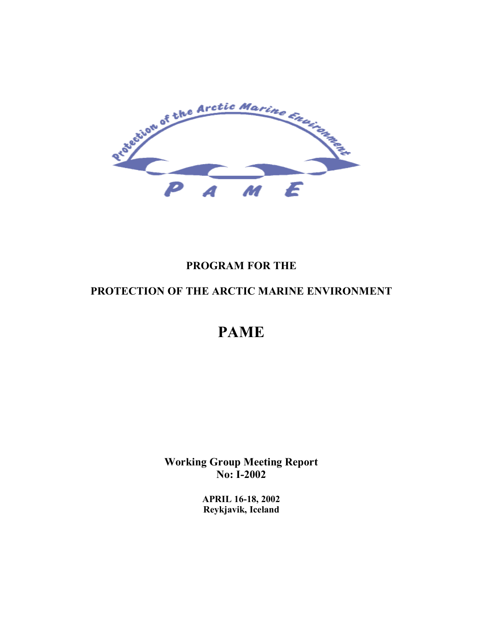

# **PROGRAM FOR THE**

# **PROTECTION OF THE ARCTIC MARINE ENVIRONMENT**

# **PAME**

**Working Group Meeting Report No: I-2002** 

> **APRIL 16-18, 2002 Reykjavik, Iceland**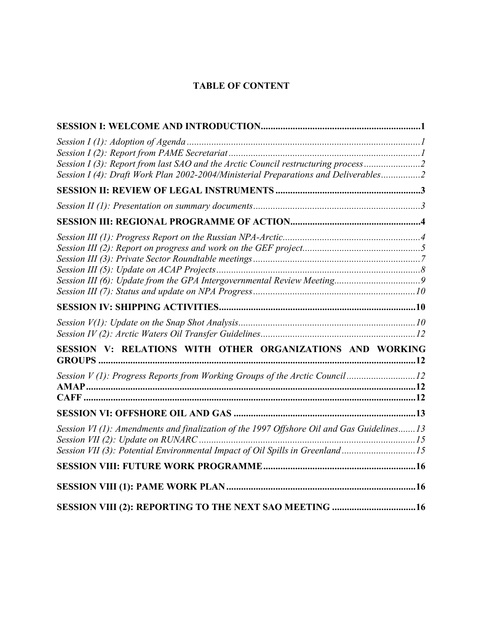# **TABLE OF CONTENT**

| Session I (3): Report from last SAO and the Arctic Council restructuring process2<br>Session I (4): Draft Work Plan 2002-2004/Ministerial Preparations and Deliverables2 |  |
|--------------------------------------------------------------------------------------------------------------------------------------------------------------------------|--|
|                                                                                                                                                                          |  |
|                                                                                                                                                                          |  |
|                                                                                                                                                                          |  |
|                                                                                                                                                                          |  |
|                                                                                                                                                                          |  |
|                                                                                                                                                                          |  |
|                                                                                                                                                                          |  |
|                                                                                                                                                                          |  |
| SESSION V: RELATIONS WITH OTHER ORGANIZATIONS AND WORKING                                                                                                                |  |
| Session V(1): Progress Reports from Working Groups of the Arctic Council12                                                                                               |  |
|                                                                                                                                                                          |  |
| Session VI (1): Amendments and finalization of the 1997 Offshore Oil and Gas Guidelines13                                                                                |  |
| Session VII (3): Potential Environmental Impact of Oil Spills in Greenland15                                                                                             |  |
|                                                                                                                                                                          |  |
|                                                                                                                                                                          |  |
|                                                                                                                                                                          |  |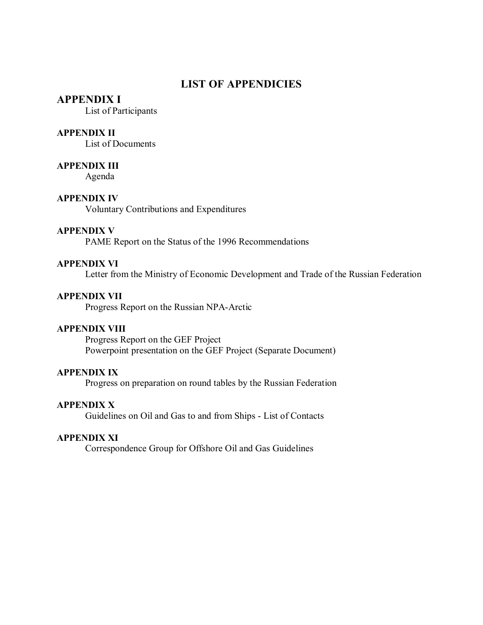## **LIST OF APPENDICIES**

#### **APPENDIX I**

List of Participants

#### **APPENDIX II**

List of Documents

#### **APPENDIX III**

Agenda

#### **APPENDIX IV**

Voluntary Contributions and Expenditures

#### **APPENDIX V**

PAME Report on the Status of the 1996 Recommendations

#### **APPENDIX VI**

Letter from the Ministry of Economic Development and Trade of the Russian Federation

#### **APPENDIX VII**

Progress Report on the Russian NPA-Arctic

#### **APPENDIX VIII**

Progress Report on the GEF Project Powerpoint presentation on the GEF Project (Separate Document)

#### **APPENDIX IX**

Progress on preparation on round tables by the Russian Federation

#### **APPENDIX X**

Guidelines on Oil and Gas to and from Ships - List of Contacts

#### **APPENDIX XI**

Correspondence Group for Offshore Oil and Gas Guidelines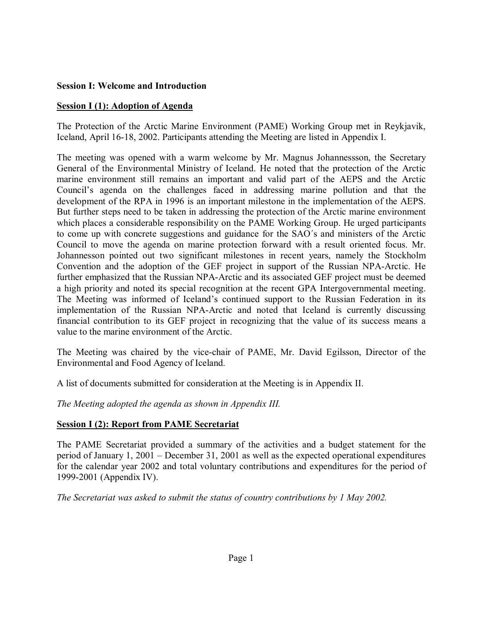#### **Session I: Welcome and Introduction**

#### **Session I (1): Adoption of Agenda**

The Protection of the Arctic Marine Environment (PAME) Working Group met in Reykjavik, Iceland, April 16-18, 2002. Participants attending the Meeting are listed in Appendix I.

The meeting was opened with a warm welcome by Mr. Magnus Johannessson, the Secretary General of the Environmental Ministry of Iceland. He noted that the protection of the Arctic marine environment still remains an important and valid part of the AEPS and the Arctic Council's agenda on the challenges faced in addressing marine pollution and that the development of the RPA in 1996 is an important milestone in the implementation of the AEPS. But further steps need to be taken in addressing the protection of the Arctic marine environment which places a considerable responsibility on the PAME Working Group. He urged participants to come up with concrete suggestions and guidance for the SAO's and ministers of the Arctic Council to move the agenda on marine protection forward with a result oriented focus. Mr. Johannesson pointed out two significant milestones in recent years, namely the Stockholm Convention and the adoption of the GEF project in support of the Russian NPA-Arctic. He further emphasized that the Russian NPA-Arctic and its associated GEF project must be deemed a high priority and noted its special recognition at the recent GPA Intergovernmental meeting. The Meeting was informed of Iceland's continued support to the Russian Federation in its implementation of the Russian NPA-Arctic and noted that Iceland is currently discussing financial contribution to its GEF project in recognizing that the value of its success means a value to the marine environment of the Arctic.

The Meeting was chaired by the vice-chair of PAME, Mr. David Egilsson, Director of the Environmental and Food Agency of Iceland.

A list of documents submitted for consideration at the Meeting is in Appendix II.

*The Meeting adopted the agenda as shown in Appendix III.* 

## **Session I (2): Report from PAME Secretariat**

The PAME Secretariat provided a summary of the activities and a budget statement for the period of January 1, 2001 – December 31, 2001 as well as the expected operational expenditures for the calendar year 2002 and total voluntary contributions and expenditures for the period of 1999-2001 (Appendix IV).

*The Secretariat was asked to submit the status of country contributions by 1 May 2002.*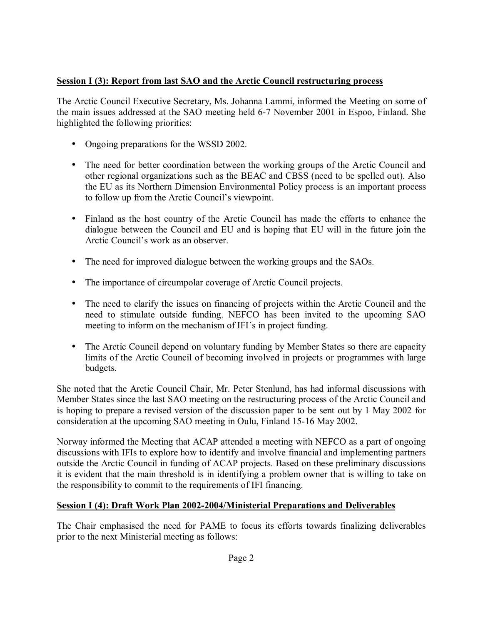## **Session I (3): Report from last SAO and the Arctic Council restructuring process**

The Arctic Council Executive Secretary, Ms. Johanna Lammi, informed the Meeting on some of the main issues addressed at the SAO meeting held 6-7 November 2001 in Espoo, Finland. She highlighted the following priorities:

- Ongoing preparations for the WSSD 2002.
- The need for better coordination between the working groups of the Arctic Council and other regional organizations such as the BEAC and CBSS (need to be spelled out). Also the EU as its Northern Dimension Environmental Policy process is an important process to follow up from the Arctic Council's viewpoint.
- Finland as the host country of the Arctic Council has made the efforts to enhance the dialogue between the Council and EU and is hoping that EU will in the future join the Arctic Council's work as an observer.
- The need for improved dialogue between the working groups and the SAOs.
- The importance of circumpolar coverage of Arctic Council projects.
- The need to clarify the issues on financing of projects within the Arctic Council and the need to stimulate outside funding. NEFCO has been invited to the upcoming SAO meeting to inform on the mechanism of IFI's in project funding.
- The Arctic Council depend on voluntary funding by Member States so there are capacity limits of the Arctic Council of becoming involved in projects or programmes with large budgets.

She noted that the Arctic Council Chair, Mr. Peter Stenlund, has had informal discussions with Member States since the last SAO meeting on the restructuring process of the Arctic Council and is hoping to prepare a revised version of the discussion paper to be sent out by 1 May 2002 for consideration at the upcoming SAO meeting in Oulu, Finland 15-16 May 2002.

Norway informed the Meeting that ACAP attended a meeting with NEFCO as a part of ongoing discussions with IFIs to explore how to identify and involve financial and implementing partners outside the Arctic Council in funding of ACAP projects. Based on these preliminary discussions it is evident that the main threshold is in identifying a problem owner that is willing to take on the responsibility to commit to the requirements of IFI financing.

# **Session I (4): Draft Work Plan 2002-2004/Ministerial Preparations and Deliverables**

The Chair emphasised the need for PAME to focus its efforts towards finalizing deliverables prior to the next Ministerial meeting as follows: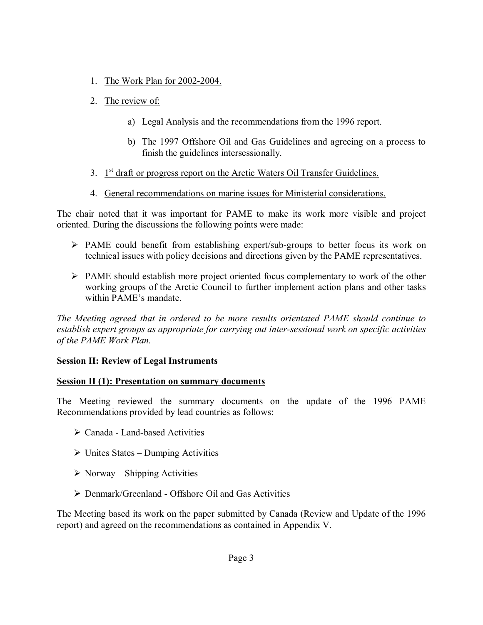- 1. The Work Plan for 2002-2004.
- 2. The review of:
	- a) Legal Analysis and the recommendations from the 1996 report.
	- b) The 1997 Offshore Oil and Gas Guidelines and agreeing on a process to finish the guidelines intersessionally.
- 3.  $1<sup>st</sup>$  draft or progress report on the Arctic Waters Oil Transfer Guidelines.
- 4. General recommendations on marine issues for Ministerial considerations.

The chair noted that it was important for PAME to make its work more visible and project oriented. During the discussions the following points were made:

- $\triangleright$  PAME could benefit from establishing expert/sub-groups to better focus its work on technical issues with policy decisions and directions given by the PAME representatives.
- $\triangleright$  PAME should establish more project oriented focus complementary to work of the other working groups of the Arctic Council to further implement action plans and other tasks within PAME's mandate

*The Meeting agreed that in ordered to be more results orientated PAME should continue to establish expert groups as appropriate for carrying out inter-sessional work on specific activities of the PAME Work Plan.* 

## **Session II: Review of Legal Instruments**

#### **Session II (1): Presentation on summary documents**

The Meeting reviewed the summary documents on the update of the 1996 PAME Recommendations provided by lead countries as follows:

- $\triangleright$  Canada Land-based Activities
- $\triangleright$  Unites States Dumping Activities
- $\triangleright$  Norway Shipping Activities
- > Denmark/Greenland Offshore Oil and Gas Activities

The Meeting based its work on the paper submitted by Canada (Review and Update of the 1996 report) and agreed on the recommendations as contained in Appendix V.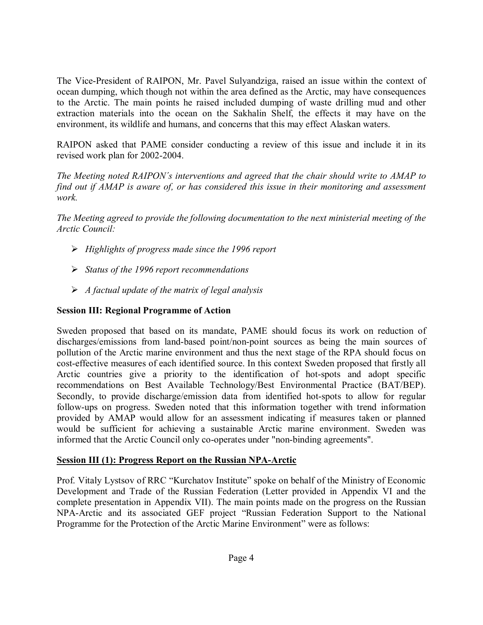The Vice-President of RAIPON, Mr. Pavel Sulyandziga, raised an issue within the context of ocean dumping, which though not within the area defined as the Arctic, may have consequences to the Arctic. The main points he raised included dumping of waste drilling mud and other extraction materials into the ocean on the Sakhalin Shelf, the effects it may have on the environment, its wildlife and humans, and concerns that this may effect Alaskan waters.

RAIPON asked that PAME consider conducting a review of this issue and include it in its revised work plan for 2002-2004.

*The Meeting noted RAIPON's interventions and agreed that the chair should write to AMAP to find out if AMAP is aware of, or has considered this issue in their monitoring and assessment work.*

*The Meeting agreed to provide the following documentation to the next ministerial meeting of the Arctic Council:* 

- ! *Highlights of progress made since the 1996 report*
- ! *Status of the 1996 report recommendations*
- ! *A factual update of the matrix of legal analysis*

## **Session III: Regional Programme of Action**

Sweden proposed that based on its mandate, PAME should focus its work on reduction of discharges/emissions from land-based point/non-point sources as being the main sources of pollution of the Arctic marine environment and thus the next stage of the RPA should focus on cost-effective measures of each identified source. In this context Sweden proposed that firstly all Arctic countries give a priority to the identification of hot-spots and adopt specific recommendations on Best Available Technology/Best Environmental Practice (BAT/BEP). Secondly, to provide discharge/emission data from identified hot-spots to allow for regular follow-ups on progress. Sweden noted that this information together with trend information provided by AMAP would allow for an assessment indicating if measures taken or planned would be sufficient for achieving a sustainable Arctic marine environment. Sweden was informed that the Arctic Council only co-operates under "non-binding agreements".

## **Session III (1): Progress Report on the Russian NPA-Arctic**

Prof. Vitaly Lystsov of RRC "Kurchatov Institute" spoke on behalf of the Ministry of Economic Development and Trade of the Russian Federation (Letter provided in Appendix VI and the complete presentation in Appendix VII). The main points made on the progress on the Russian NPA-Arctic and its associated GEF project "Russian Federation Support to the National Programme for the Protection of the Arctic Marine Environment" were as follows: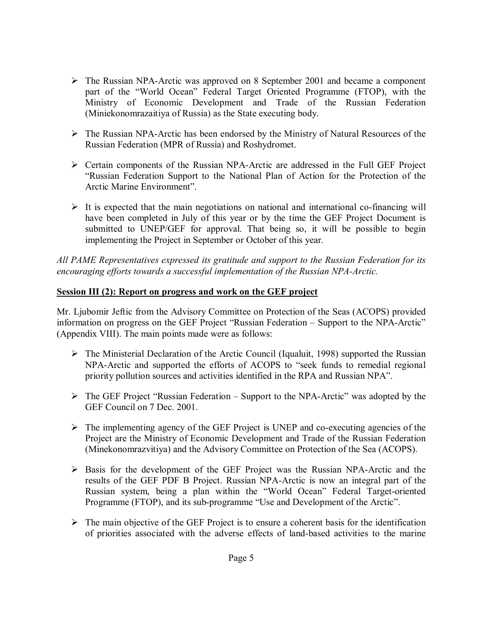- $\triangleright$  The Russian NPA-Arctic was approved on 8 September 2001 and became a component part of the "World Ocean" Federal Target Oriented Programme (FTOP), with the Ministry of Economic Development and Trade of the Russian Federation (Miniekonomrazaitiya of Russia) as the State executing body.
- $\triangleright$  The Russian NPA-Arctic has been endorsed by the Ministry of Natural Resources of the Russian Federation (MPR of Russia) and Roshydromet.
- ! Certain components of the Russian NPA-Arctic are addressed in the Full GEF Project ìRussian Federation Support to the National Plan of Action for the Protection of the Arctic Marine Environment".
- $\triangleright$  It is expected that the main negotiations on national and international co-financing will have been completed in July of this year or by the time the GEF Project Document is submitted to UNEP/GEF for approval. That being so, it will be possible to begin implementing the Project in September or October of this year.

*All PAME Representatives expressed its gratitude and support to the Russian Federation for its encouraging efforts towards a successful implementation of the Russian NPA-Arctic.* 

## **Session III (2): Report on progress and work on the GEF project**

Mr. Ljubomir Jeftic from the Advisory Committee on Protection of the Seas (ACOPS) provided information on progress on the GEF Project "Russian Federation – Support to the NPA-Arctic" (Appendix VIII). The main points made were as follows:

- $\triangleright$  The Ministerial Declaration of the Arctic Council (Iqualuit, 1998) supported the Russian NPA-Arctic and supported the efforts of ACOPS to "seek funds to remedial regional priority pollution sources and activities identified in the RPA and Russian NPA".
- $\triangleright$  The GEF Project "Russian Federation Support to the NPA-Arctic" was adopted by the GEF Council on 7 Dec. 2001.
- $\triangleright$  The implementing agency of the GEF Project is UNEP and co-executing agencies of the Project are the Ministry of Economic Development and Trade of the Russian Federation (Minekonomrazvitiya) and the Advisory Committee on Protection of the Sea (ACOPS).
- $\triangleright$  Basis for the development of the GEF Project was the Russian NPA-Arctic and the results of the GEF PDF B Project. Russian NPA-Arctic is now an integral part of the Russian system, being a plan within the "World Ocean" Federal Target-oriented Programme (FTOP), and its sub-programme "Use and Development of the Arctic".
- $\triangleright$  The main objective of the GEF Project is to ensure a coherent basis for the identification of priorities associated with the adverse effects of land-based activities to the marine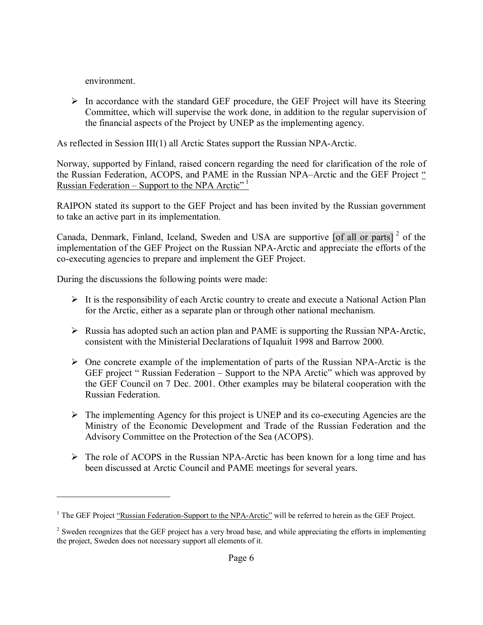environment.

<u>.</u>

 $\triangleright$  In accordance with the standard GEF procedure, the GEF Project will have its Steering Committee, which will supervise the work done, in addition to the regular supervision of the financial aspects of the Project by UNEP as the implementing agency.

As reflected in Session III(1) all Arctic States support the Russian NPA-Arctic.

Norway, supported by Finland, raised concern regarding the need for clarification of the role of the Russian Federation, ACOPS, and PAME in the Russian NPA–Arctic and the GEF Project " <u>Russian Federation</u> – Support to the NPA Arctic<sup> $n<sup>1</sup>$ </sup>

RAIPON stated its support to the GEF Project and has been invited by the Russian government to take an active part in its implementation.

Canada, Denmark, Finland, Iceland, Sweden and USA are supportive [of all or parts]<sup>2</sup> of the implementation of the GEF Project on the Russian NPA-Arctic and appreciate the efforts of the co-executing agencies to prepare and implement the GEF Project.

During the discussions the following points were made:

- $\triangleright$  It is the responsibility of each Arctic country to create and execute a National Action Plan for the Arctic, either as a separate plan or through other national mechanism.
- $\triangleright$  Russia has adopted such an action plan and PAME is supporting the Russian NPA-Arctic, consistent with the Ministerial Declarations of Iqualuit 1998 and Barrow 2000.
- $\triangleright$  One concrete example of the implementation of parts of the Russian NPA-Arctic is the GEF project "Russian Federation – Support to the NPA Arctic" which was approved by the GEF Council on 7 Dec. 2001. Other examples may be bilateral cooperation with the Russian Federation.
- $\triangleright$  The implementing Agency for this project is UNEP and its co-executing Agencies are the Ministry of the Economic Development and Trade of the Russian Federation and the Advisory Committee on the Protection of the Sea (ACOPS).
- $\triangleright$  The role of ACOPS in the Russian NPA-Arctic has been known for a long time and has been discussed at Arctic Council and PAME meetings for several years.

<sup>&</sup>lt;sup>1</sup> The GEF Project  $\cdot$ Russian Federation-Support to the NPA-Arctic<sup> $\cdot$ </sup> will be referred to herein as the GEF Project.

 $2^2$  Sweden recognizes that the GEF project has a very broad base, and while appreciating the efforts in implementing the project, Sweden does not necessary support all elements of it.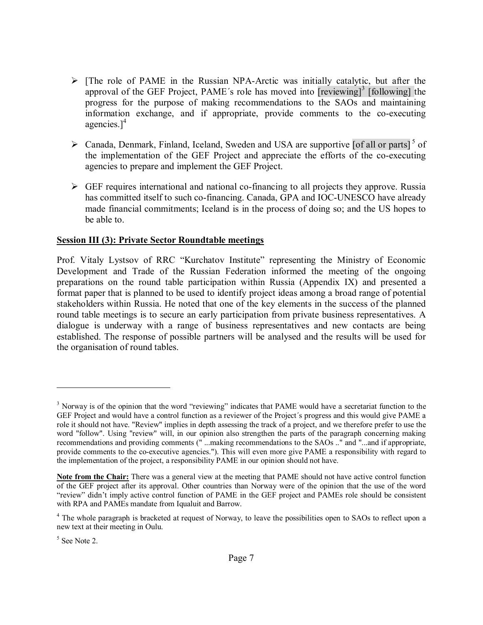- $\triangleright$  [The role of PAME in the Russian NPA-Arctic was initially catalytic, but after the approval of the GEF Project, PAME's role has moved into  $[reviewing]$ <sup>3</sup> [following] the progress for the purpose of making recommendations to the SAOs and maintaining information exchange, and if appropriate, provide comments to the co-executing agencies. $]^{4}$
- $\triangleright$  Canada, Denmark, Finland, Iceland, Sweden and USA are supportive [of all or parts]<sup>5</sup> of the implementation of the GEF Project and appreciate the efforts of the co-executing agencies to prepare and implement the GEF Project.
- $\triangleright$  GEF requires international and national co-financing to all projects they approve. Russia has committed itself to such co-financing. Canada, GPA and IOC-UNESCO have already made financial commitments; Iceland is in the process of doing so; and the US hopes to be able to.

#### **Session III (3): Private Sector Roundtable meetings**

Prof. Vitaly Lystsov of RRC "Kurchatov Institute" representing the Ministry of Economic Development and Trade of the Russian Federation informed the meeting of the ongoing preparations on the round table participation within Russia (Appendix IX) and presented a format paper that is planned to be used to identify project ideas among a broad range of potential stakeholders within Russia. He noted that one of the key elements in the success of the planned round table meetings is to secure an early participation from private business representatives. A dialogue is underway with a range of business representatives and new contacts are being established. The response of possible partners will be analysed and the results will be used for the organisation of round tables.

 $\overline{a}$ 

 $3$  Norway is of the opinion that the word "reviewing" indicates that PAME would have a secretariat function to the GEF Project and would have a control function as a reviewer of the Project's progress and this would give PAME a role it should not have. "Review" implies in depth assessing the track of a project, and we therefore prefer to use the word "follow". Using "review" will, in our opinion also strengthen the parts of the paragraph concerning making recommendations and providing comments (" ...making recommendations to the SAOs .." and "...and if appropriate, provide comments to the co-executive agencies."). This will even more give PAME a responsibility with regard to the implementation of the project, a responsibility PAME in our opinion should not have.

**Note from the Chair:** There was a general view at the meeting that PAME should not have active control function of the GEF project after its approval. Other countries than Norway were of the opinion that the use of the word "review" didn't imply active control function of PAME in the GEF project and PAMEs role should be consistent with RPA and PAMEs mandate from Iqualuit and Barrow.

<sup>&</sup>lt;sup>4</sup> The whole paragraph is bracketed at request of Norway, to leave the possibilities open to SAOs to reflect upon a new text at their meeting in Oulu.

<sup>&</sup>lt;sup>5</sup> See Note 2.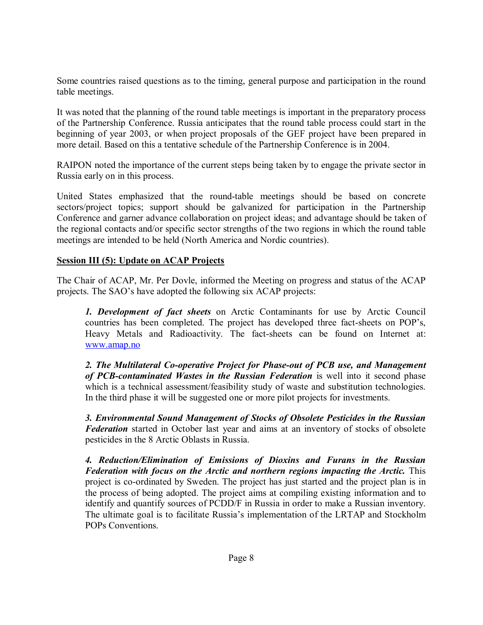Some countries raised questions as to the timing, general purpose and participation in the round table meetings.

It was noted that the planning of the round table meetings is important in the preparatory process of the Partnership Conference. Russia anticipates that the round table process could start in the beginning of year 2003, or when project proposals of the GEF project have been prepared in more detail. Based on this a tentative schedule of the Partnership Conference is in 2004.

RAIPON noted the importance of the current steps being taken by to engage the private sector in Russia early on in this process.

United States emphasized that the round-table meetings should be based on concrete sectors/project topics; support should be galvanized for participation in the Partnership Conference and garner advance collaboration on project ideas; and advantage should be taken of the regional contacts and/or specific sector strengths of the two regions in which the round table meetings are intended to be held (North America and Nordic countries).

## **Session III (5): Update on ACAP Projects**

The Chair of ACAP, Mr. Per Dovle, informed the Meeting on progress and status of the ACAP projects. The SAO's have adopted the following six ACAP projects:

*1. Development of fact sheets* on Arctic Contaminants for use by Arctic Council countries has been completed. The project has developed three fact-sheets on POP's, Heavy Metals and Radioactivity. The fact-sheets can be found on Internet at: www.amap.no

*2. The Multilateral Co-operative Project for Phase-out of PCB use, and Management of PCB-contaminated Wastes in the Russian Federation* is well into it second phase which is a technical assessment/feasibility study of waste and substitution technologies. In the third phase it will be suggested one or more pilot projects for investments.

*3. Environmental Sound Management of Stocks of Obsolete Pesticides in the Russian Federation* started in October last year and aims at an inventory of stocks of obsolete pesticides in the 8 Arctic Oblasts in Russia.

*4. Reduction/Elimination of Emissions of Dioxins and Furans in the Russian Federation with focus on the Arctic and northern regions impacting the Arctic.* This project is co-ordinated by Sweden. The project has just started and the project plan is in the process of being adopted. The project aims at compiling existing information and to identify and quantify sources of PCDD/F in Russia in order to make a Russian inventory. The ultimate goal is to facilitate Russia's implementation of the LRTAP and Stockholm POPs Conventions.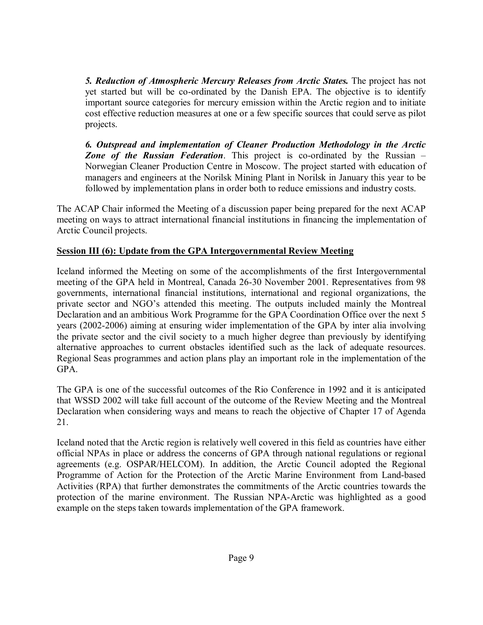*5. Reduction of Atmospheric Mercury Releases from Arctic States.* The project has not yet started but will be co-ordinated by the Danish EPA. The objective is to identify important source categories for mercury emission within the Arctic region and to initiate cost effective reduction measures at one or a few specific sources that could serve as pilot projects.

*6. Outspread and implementation of Cleaner Production Methodology in the Arctic*  **Zone of the Russian Federation**. This project is co-ordinated by the Russian – Norwegian Cleaner Production Centre in Moscow. The project started with education of managers and engineers at the Norilsk Mining Plant in Norilsk in January this year to be followed by implementation plans in order both to reduce emissions and industry costs.

The ACAP Chair informed the Meeting of a discussion paper being prepared for the next ACAP meeting on ways to attract international financial institutions in financing the implementation of Arctic Council projects.

## **Session III (6): Update from the GPA Intergovernmental Review Meeting**

Iceland informed the Meeting on some of the accomplishments of the first Intergovernmental meeting of the GPA held in Montreal, Canada 26-30 November 2001. Representatives from 98 governments, international financial institutions, international and regional organizations, the private sector and NGO's attended this meeting. The outputs included mainly the Montreal Declaration and an ambitious Work Programme for the GPA Coordination Office over the next 5 years (2002-2006) aiming at ensuring wider implementation of the GPA by inter alia involving the private sector and the civil society to a much higher degree than previously by identifying alternative approaches to current obstacles identified such as the lack of adequate resources. Regional Seas programmes and action plans play an important role in the implementation of the GPA.

The GPA is one of the successful outcomes of the Rio Conference in 1992 and it is anticipated that WSSD 2002 will take full account of the outcome of the Review Meeting and the Montreal Declaration when considering ways and means to reach the objective of Chapter 17 of Agenda 21.

Iceland noted that the Arctic region is relatively well covered in this field as countries have either official NPAs in place or address the concerns of GPA through national regulations or regional agreements (e.g. OSPAR/HELCOM). In addition, the Arctic Council adopted the Regional Programme of Action for the Protection of the Arctic Marine Environment from Land-based Activities (RPA) that further demonstrates the commitments of the Arctic countries towards the protection of the marine environment. The Russian NPA-Arctic was highlighted as a good example on the steps taken towards implementation of the GPA framework.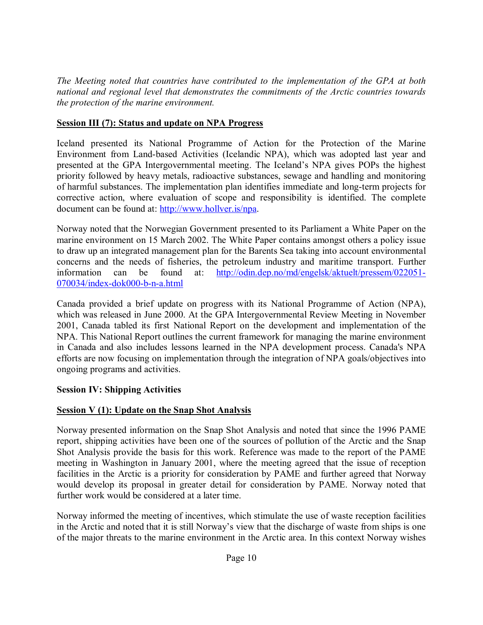*The Meeting noted that countries have contributed to the implementation of the GPA at both national and regional level that demonstrates the commitments of the Arctic countries towards the protection of the marine environment.*

## **Session III (7): Status and update on NPA Progress**

Iceland presented its National Programme of Action for the Protection of the Marine Environment from Land-based Activities (Icelandic NPA), which was adopted last year and presented at the GPA Intergovernmental meeting. The Iceland's NPA gives POPs the highest priority followed by heavy metals, radioactive substances, sewage and handling and monitoring of harmful substances. The implementation plan identifies immediate and long-term projects for corrective action, where evaluation of scope and responsibility is identified. The complete document can be found at: http://www.hollver.is/npa.

Norway noted that the Norwegian Government presented to its Parliament a White Paper on the marine environment on 15 March 2002. The White Paper contains amongst others a policy issue to draw up an integrated management plan for the Barents Sea taking into account environmental concerns and the needs of fisheries, the petroleum industry and maritime transport. Further information can be found at: http://odin.dep.no/md/engelsk/aktuelt/pressem/022051- 070034/index-dok000-b-n-a.html

Canada provided a brief update on progress with its National Programme of Action (NPA), which was released in June 2000. At the GPA Intergovernmental Review Meeting in November 2001, Canada tabled its first National Report on the development and implementation of the NPA. This National Report outlines the current framework for managing the marine environment in Canada and also includes lessons learned in the NPA development process. Canada's NPA efforts are now focusing on implementation through the integration of NPA goals/objectives into ongoing programs and activities.

## **Session IV: Shipping Activities**

# **Session V (1): Update on the Snap Shot Analysis**

Norway presented information on the Snap Shot Analysis and noted that since the 1996 PAME report, shipping activities have been one of the sources of pollution of the Arctic and the Snap Shot Analysis provide the basis for this work. Reference was made to the report of the PAME meeting in Washington in January 2001, where the meeting agreed that the issue of reception facilities in the Arctic is a priority for consideration by PAME and further agreed that Norway would develop its proposal in greater detail for consideration by PAME. Norway noted that further work would be considered at a later time.

Norway informed the meeting of incentives, which stimulate the use of waste reception facilities in the Arctic and noted that it is still Norway's view that the discharge of waste from ships is one of the major threats to the marine environment in the Arctic area. In this context Norway wishes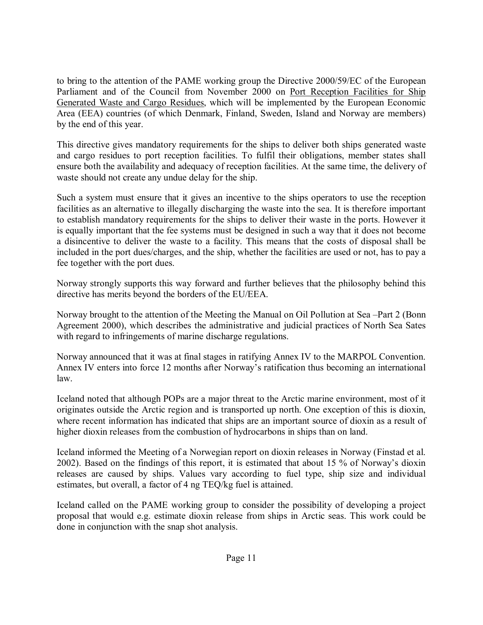to bring to the attention of the PAME working group the Directive 2000/59/EC of the European Parliament and of the Council from November 2000 on Port Reception Facilities for Ship Generated Waste and Cargo Residues, which will be implemented by the European Economic Area (EEA) countries (of which Denmark, Finland, Sweden, Island and Norway are members) by the end of this year.

This directive gives mandatory requirements for the ships to deliver both ships generated waste and cargo residues to port reception facilities. To fulfil their obligations, member states shall ensure both the availability and adequacy of reception facilities. At the same time, the delivery of waste should not create any undue delay for the ship.

Such a system must ensure that it gives an incentive to the ships operators to use the reception facilities as an alternative to illegally discharging the waste into the sea. It is therefore important to establish mandatory requirements for the ships to deliver their waste in the ports. However it is equally important that the fee systems must be designed in such a way that it does not become a disincentive to deliver the waste to a facility. This means that the costs of disposal shall be included in the port dues/charges, and the ship, whether the facilities are used or not, has to pay a fee together with the port dues.

Norway strongly supports this way forward and further believes that the philosophy behind this directive has merits beyond the borders of the EU/EEA.

Norway brought to the attention of the Meeting the Manual on Oil Pollution at Sea –Part 2 (Bonn Agreement 2000), which describes the administrative and judicial practices of North Sea Sates with regard to infringements of marine discharge regulations.

Norway announced that it was at final stages in ratifying Annex IV to the MARPOL Convention. Annex IV enters into force 12 months after Norway's ratification thus becoming an international law.

Iceland noted that although POPs are a major threat to the Arctic marine environment, most of it originates outside the Arctic region and is transported up north. One exception of this is dioxin, where recent information has indicated that ships are an important source of dioxin as a result of higher dioxin releases from the combustion of hydrocarbons in ships than on land.

Iceland informed the Meeting of a Norwegian report on dioxin releases in Norway (Finstad et al. 2002). Based on the findings of this report, it is estimated that about 15 % of Norway's dioxin releases are caused by ships. Values vary according to fuel type, ship size and individual estimates, but overall, a factor of 4 ng TEQ/kg fuel is attained.

Iceland called on the PAME working group to consider the possibility of developing a project proposal that would e.g. estimate dioxin release from ships in Arctic seas. This work could be done in conjunction with the snap shot analysis.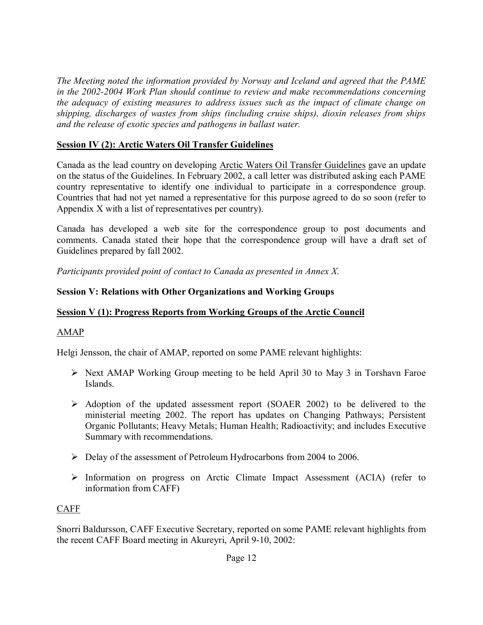*The Meeting noted the information provided by Norway and Iceland and agreed that the PAME in the 2002-2004 Work Plan should continue to review and make recommendations concerning the adequacy of existing measures to address issues such as the impact of climate change on shipping, discharges of wastes from ships (including cruise ships), dioxin releases from ships and the release of exotic species and pathogens in ballast water.* 

## **Session IV (2): Arctic Waters Oil Transfer Guidelines**

Canada as the lead country on developing Arctic Waters Oil Transfer Guidelines gave an update on the status of the Guidelines. In February 2002, a call letter was distributed asking each PAME country representative to identify one individual to participate in a correspondence group. Countries that had not yet named a representative for this purpose agreed to do so soon (refer to Appendix X with a list of representatives per country).

Canada has developed a web site for the correspondence group to post documents and comments. Canada stated their hope that the correspondence group will have a draft set of Guidelines prepared by fall 2002.

*Participants provided point of contact to Canada as presented in Annex X.*

## **Session V: Relations with Other Organizations and Working Groups**

## **Session V (1): Progress Reports from Working Groups of the Arctic Council**

# AMAP

Helgi Jensson, the chair of AMAP, reported on some PAME relevant highlights:

- $\triangleright$  Next AMAP Working Group meeting to be held April 30 to May 3 in Torshavn Faroe Islands.
- $\triangleright$  Adoption of the updated assessment report (SOAER 2002) to be delivered to the ministerial meeting 2002. The report has updates on Changing Pathways; Persistent Organic Pollutants; Heavy Metals; Human Health; Radioactivity; and includes Executive Summary with recommendations.
- ! Delay of the assessment of Petroleum Hydrocarbons from 2004 to 2006.
- ! Information on progress on Arctic Climate Impact Assessment (ACIA) (refer to information from CAFF)

# CAFF

Snorri Baldursson, CAFF Executive Secretary, reported on some PAME relevant highlights from the recent CAFF Board meeting in Akureyri, April 9-10, 2002: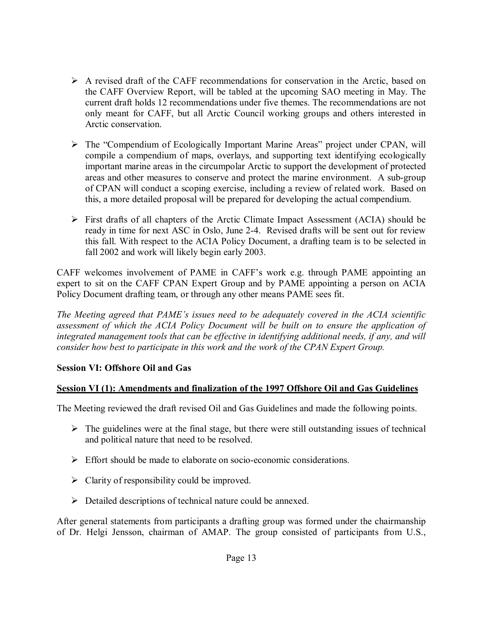- $\triangleright$  A revised draft of the CAFF recommendations for conservation in the Arctic, based on the CAFF Overview Report, will be tabled at the upcoming SAO meeting in May. The current draft holds 12 recommendations under five themes. The recommendations are not only meant for CAFF, but all Arctic Council working groups and others interested in Arctic conservation.
- $\triangleright$  The "Compendium of Ecologically Important Marine Areas" project under CPAN, will compile a compendium of maps, overlays, and supporting text identifying ecologically important marine areas in the circumpolar Arctic to support the development of protected areas and other measures to conserve and protect the marine environment. A sub-group of CPAN will conduct a scoping exercise, including a review of related work. Based on this, a more detailed proposal will be prepared for developing the actual compendium.
- $\triangleright$  First drafts of all chapters of the Arctic Climate Impact Assessment (ACIA) should be ready in time for next ASC in Oslo, June 2-4. Revised drafts will be sent out for review this fall. With respect to the ACIA Policy Document, a drafting team is to be selected in fall 2002 and work will likely begin early 2003.

CAFF welcomes involvement of PAME in CAFFís work e.g. through PAME appointing an expert to sit on the CAFF CPAN Expert Group and by PAME appointing a person on ACIA Policy Document drafting team, or through any other means PAME sees fit.

*The Meeting agreed that PAMEís issues need to be adequately covered in the ACIA scientific assessment of which the ACIA Policy Document will be built on to ensure the application of integrated management tools that can be effective in identifying additional needs, if any, and will consider how best to participate in this work and the work of the CPAN Expert Group.*

## **Session VI: Offshore Oil and Gas**

## **Session VI (1): Amendments and finalization of the 1997 Offshore Oil and Gas Guidelines**

The Meeting reviewed the draft revised Oil and Gas Guidelines and made the following points.

- $\triangleright$  The guidelines were at the final stage, but there were still outstanding issues of technical and political nature that need to be resolved.
- $\triangleright$  Effort should be made to elaborate on socio-economic considerations.
- $\triangleright$  Clarity of responsibility could be improved.
- $\triangleright$  Detailed descriptions of technical nature could be annexed.

After general statements from participants a drafting group was formed under the chairmanship of Dr. Helgi Jensson, chairman of AMAP. The group consisted of participants from U.S.,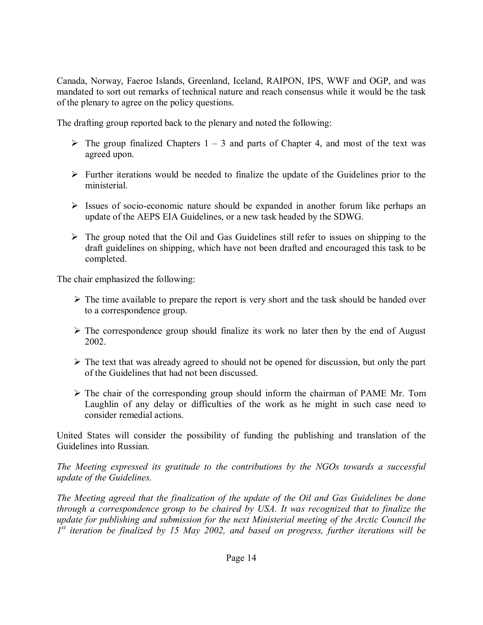Canada, Norway, Faeroe Islands, Greenland, Iceland, RAIPON, IPS, WWF and OGP, and was mandated to sort out remarks of technical nature and reach consensus while it would be the task of the plenary to agree on the policy questions.

The drafting group reported back to the plenary and noted the following:

- $\triangleright$  The group finalized Chapters 1 3 and parts of Chapter 4, and most of the text was agreed upon.
- $\triangleright$  Further iterations would be needed to finalize the update of the Guidelines prior to the ministerial.
- $\triangleright$  Issues of socio-economic nature should be expanded in another forum like perhaps an update of the AEPS EIA Guidelines, or a new task headed by the SDWG.
- $\triangleright$  The group noted that the Oil and Gas Guidelines still refer to issues on shipping to the draft guidelines on shipping, which have not been drafted and encouraged this task to be completed.

The chair emphasized the following:

- $\triangleright$  The time available to prepare the report is very short and the task should be handed over to a correspondence group.
- $\triangleright$  The correspondence group should finalize its work no later then by the end of August 2002.
- $\triangleright$  The text that was already agreed to should not be opened for discussion, but only the part of the Guidelines that had not been discussed.
- $\triangleright$  The chair of the corresponding group should inform the chairman of PAME Mr. Tom Laughlin of any delay or difficulties of the work as he might in such case need to consider remedial actions.

United States will consider the possibility of funding the publishing and translation of the Guidelines into Russian.

*The Meeting expressed its gratitude to the contributions by the NGOs towards a successful update of the Guidelines.*

*The Meeting agreed that the finalization of the update of the Oil and Gas Guidelines be done through a correspondence group to be chaired by USA. It was recognized that to finalize the update for publishing and submission for the next Ministerial meeting of the Arctic Council the 1st iteration be finalized by 15 May 2002, and based on progress, further iterations will be*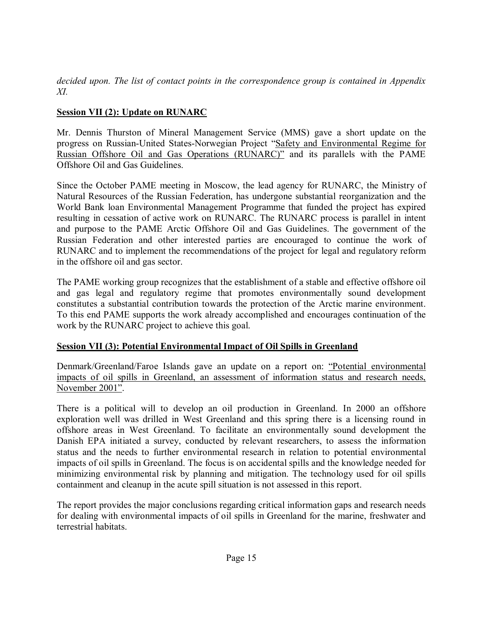*decided upon. The list of contact points in the correspondence group is contained in Appendix XI.* 

# **Session VII (2): Update on RUNARC**

Mr. Dennis Thurston of Mineral Management Service (MMS) gave a short update on the progress on Russian-United States-Norwegian Project "Safety and Environmental Regime for Russian Offshore Oil and Gas Operations (RUNARC)" and its parallels with the PAME Offshore Oil and Gas Guidelines.

Since the October PAME meeting in Moscow, the lead agency for RUNARC, the Ministry of Natural Resources of the Russian Federation, has undergone substantial reorganization and the World Bank loan Environmental Management Programme that funded the project has expired resulting in cessation of active work on RUNARC. The RUNARC process is parallel in intent and purpose to the PAME Arctic Offshore Oil and Gas Guidelines. The government of the Russian Federation and other interested parties are encouraged to continue the work of RUNARC and to implement the recommendations of the project for legal and regulatory reform in the offshore oil and gas sector.

The PAME working group recognizes that the establishment of a stable and effective offshore oil and gas legal and regulatory regime that promotes environmentally sound development constitutes a substantial contribution towards the protection of the Arctic marine environment. To this end PAME supports the work already accomplished and encourages continuation of the work by the RUNARC project to achieve this goal.

# **Session VII (3): Potential Environmental Impact of Oil Spills in Greenland**

Denmark/Greenland/Faroe Islands gave an update on a report on: "Potential environmental impacts of oil spills in Greenland, an assessment of information status and research needs, November 2001".

There is a political will to develop an oil production in Greenland. In 2000 an offshore exploration well was drilled in West Greenland and this spring there is a licensing round in offshore areas in West Greenland. To facilitate an environmentally sound development the Danish EPA initiated a survey, conducted by relevant researchers, to assess the information status and the needs to further environmental research in relation to potential environmental impacts of oil spills in Greenland. The focus is on accidental spills and the knowledge needed for minimizing environmental risk by planning and mitigation. The technology used for oil spills containment and cleanup in the acute spill situation is not assessed in this report.

The report provides the major conclusions regarding critical information gaps and research needs for dealing with environmental impacts of oil spills in Greenland for the marine, freshwater and terrestrial habitats.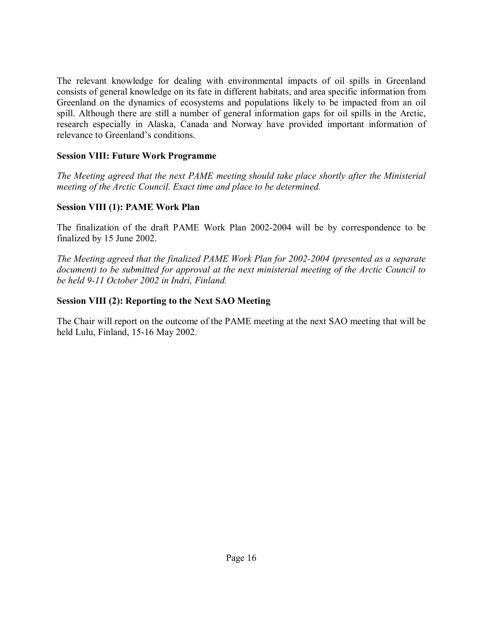The relevant knowledge for dealing with environmental impacts of oil spills in Greenland consists of general knowledge on its fate in different habitats, and area specific information from Greenland on the dynamics of ecosystems and populations likely to be impacted from an oil spill. Although there are still a number of general information gaps for oil spills in the Arctic, research especially in Alaska, Canada and Norway have provided important information of relevance to Greenland's conditions.

#### **Session VIII: Future Work Programme**

*The Meeting agreed that the next PAME meeting should take place shortly after the Ministerial meeting of the Arctic Council. Exact time and place to be determined.* 

## **Session VIII (1): PAME Work Plan**

The finalization of the draft PAME Work Plan 2002-2004 will be by correspondence to be finalized by 15 June 2002.

*The Meeting agreed that the finalized PAME Work Plan for 2002-2004 (presented as a separate document) to be submitted for approval at the next ministerial meeting of the Arctic Council to be held 9-11 October 2002 in Indri, Finland.* 

## **Session VIII (2): Reporting to the Next SAO Meeting**

The Chair will report on the outcome of the PAME meeting at the next SAO meeting that will be held Lulu, Finland, 15-16 May 2002.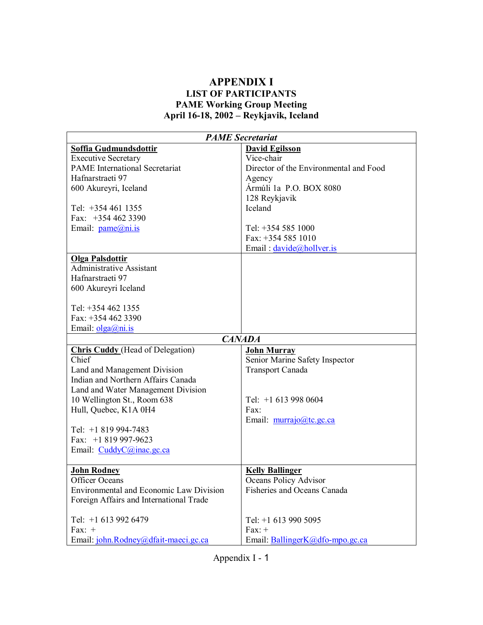#### **APPENDIX I LIST OF PARTICIPANTS PAME Working Group Meeting**  April 16-18, 2002 – Reykjavik, Iceland

| <b>PAME Secretariat</b>                        |                                        |  |  |
|------------------------------------------------|----------------------------------------|--|--|
| Soffia Gudmundsdottir                          | <b>David Egilsson</b>                  |  |  |
| <b>Executive Secretary</b>                     | Vice-chair                             |  |  |
| <b>PAME</b> International Secretariat          | Director of the Environmental and Food |  |  |
| Hafnarstraeti 97                               | Agency                                 |  |  |
| 600 Akureyri, Iceland                          | Ármúli 1a P.O. BOX 8080                |  |  |
|                                                | 128 Reykjavik                          |  |  |
| Tel: $+3544611355$                             | Iceland                                |  |  |
| Fax: $+3544623390$                             |                                        |  |  |
| Email: pame@ni.is                              | Tel: +354 585 1000                     |  |  |
|                                                | Fax: +354 585 1010                     |  |  |
|                                                | Email: davide@hollver.is               |  |  |
| <b>Olga Palsdottir</b>                         |                                        |  |  |
| <b>Administrative Assistant</b>                |                                        |  |  |
| Hafnarstraeti 97                               |                                        |  |  |
| 600 Akureyri Iceland                           |                                        |  |  |
|                                                |                                        |  |  |
| Tel: $+3544621355$                             |                                        |  |  |
| Fax: $+3544623390$                             |                                        |  |  |
| Email: $olga(a)$ ni.is                         |                                        |  |  |
|                                                | <b>CANADA</b>                          |  |  |
| <b>Chris Cuddy</b> (Head of Delegation)        | <b>John Murray</b>                     |  |  |
| Chief                                          | Senior Marine Safety Inspector         |  |  |
| Land and Management Division                   | <b>Transport Canada</b>                |  |  |
| Indian and Northern Affairs Canada             |                                        |  |  |
| Land and Water Management Division             |                                        |  |  |
| 10 Wellington St., Room 638                    | Tel: $+1$ 613 998 0604                 |  |  |
| Hull, Quebec, K1A 0H4                          | Fax:                                   |  |  |
|                                                | Email: murrajo@tc.gc.ca                |  |  |
| Tel: $+1819994-7483$                           |                                        |  |  |
| Fax: $+1819997-9623$                           |                                        |  |  |
| Email: CuddyC@inac.gc.ca                       |                                        |  |  |
|                                                |                                        |  |  |
| <b>John Rodney</b>                             | <b>Kelly Ballinger</b>                 |  |  |
| Officer Oceans                                 | Oceans Policy Advisor                  |  |  |
| <b>Environmental and Economic Law Division</b> | Fisheries and Oceans Canada            |  |  |
| Foreign Affairs and International Trade        |                                        |  |  |
| Tel: +1 613 992 6479                           | Tel: $+1$ 613 990 5095                 |  |  |
| Fax: $+$                                       | $Fax: +$                               |  |  |
| Email: john.Rodney@dfait-maeci.gc.ca           | Email: BallingerK@dfo-mpo.gc.ca        |  |  |

Appendix I - 1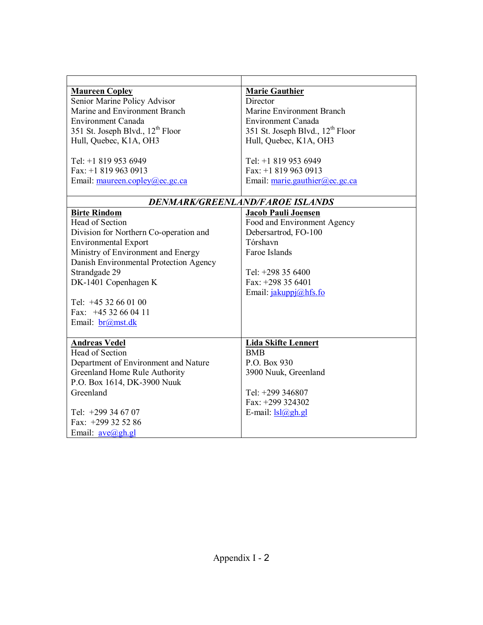| <b>Maureen Copley</b>                        | <b>Marie Gauthier</b>                        |
|----------------------------------------------|----------------------------------------------|
| Senior Marine Policy Advisor                 | Director                                     |
| Marine and Environment Branch                | Marine Environment Branch                    |
| <b>Environment Canada</b>                    | <b>Environment Canada</b>                    |
| 351 St. Joseph Blvd., 12 <sup>th</sup> Floor | 351 St. Joseph Blvd., 12 <sup>th</sup> Floor |
| Hull, Quebec, K1A, OH3                       | Hull, Quebec, K1A, OH3                       |
|                                              |                                              |
| Tel: +1 819 953 6949                         | Tel: +1 819 953 6949                         |
| Fax: $+18199630913$                          | Fax: $+18199630913$                          |
| Email: maureen.copley@ec.gc.ca               | Email: marie.gauthier@ec.gc.ca               |
|                                              |                                              |
|                                              | DENMARK/GREENLAND/FAROE ISLANDS              |
| <b>Birte Rindom</b>                          | <b>Jacob Pauli Joensen</b>                   |
| Head of Section                              | Food and Environment Agency                  |
| Division for Northern Co-operation and       | Debersartrod, FO-100                         |
| <b>Environmental Export</b>                  | Tórshavn                                     |
| Ministry of Environment and Energy           | Faroe Islands                                |
| Danish Environmental Protection Agency       |                                              |
| Strandgade 29                                | Tel: $+298$ 35 6400                          |
| DK-1401 Copenhagen K                         | Fax: $+298$ 35 6401                          |
|                                              | Email: jakuppj@hfs.fo                        |
| Tel: $+4532660100$                           |                                              |
| Fax: $+4532660411$                           |                                              |
| Email: br@mst.dk                             |                                              |
|                                              |                                              |
| <b>Andreas Vedel</b>                         | <b>Lida Skifte Lennert</b>                   |
| <b>Head of Section</b>                       | <b>BMB</b>                                   |
| Department of Environment and Nature         | P.O. Box 930                                 |
| Greenland Home Rule Authority                | 3900 Nuuk, Greenland                         |
| P.O. Box 1614, DK-3900 Nuuk                  |                                              |
| Greenland                                    | Tel: +299 346807                             |
|                                              | Fax: $+299$ 324302                           |
| Tel: $+299$ 34 67 07                         | E-mail: $lsl@ghgl$                           |
| Fax: +299 32 52 86                           |                                              |
| Email: $ave(a)gh gh$                         |                                              |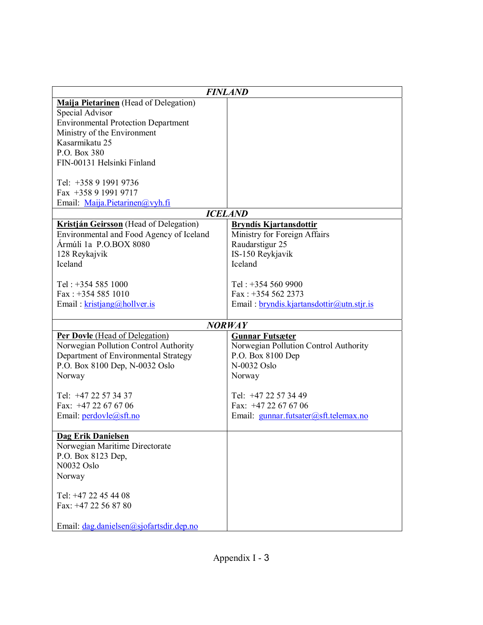| <b>FINLAND</b>                               |                                           |  |  |
|----------------------------------------------|-------------------------------------------|--|--|
| <b>Maija Pietarinen</b> (Head of Delegation) |                                           |  |  |
| Special Advisor                              |                                           |  |  |
| <b>Environmental Protection Department</b>   |                                           |  |  |
| Ministry of the Environment                  |                                           |  |  |
| Kasarmikatu 25                               |                                           |  |  |
| P.O. Box 380                                 |                                           |  |  |
| FIN-00131 Helsinki Finland                   |                                           |  |  |
|                                              |                                           |  |  |
| Tel: +358 9 1991 9736                        |                                           |  |  |
| Fax +358 9 1991 9717                         |                                           |  |  |
| Email: Maija.Pietarinen@vyh.fi               |                                           |  |  |
|                                              | <b>ICELAND</b>                            |  |  |
| Kristján Geirsson (Head of Delegation)       | <b>Bryndís Kjartansdottir</b>             |  |  |
| Environmental and Food Agency of Iceland     | Ministry for Foreign Affairs              |  |  |
| Ármúli 1a P.O.BOX 8080                       | Raudarstigur 25                           |  |  |
| 128 Reykajvik                                | IS-150 Reykjavik                          |  |  |
| Iceland                                      | Iceland                                   |  |  |
|                                              |                                           |  |  |
| Tel: $+3545851000$                           | Tel: $+3545609900$                        |  |  |
| Fax: $+3545851010$                           | Fax: $+3545622373$                        |  |  |
| Email: $kristjang@hollver.is$                | Email: bryndis.kjartansdottir@utn.stjr.is |  |  |
|                                              |                                           |  |  |
|                                              | <b>NORWAY</b>                             |  |  |
| <b>Per Dovle</b> (Head of Delegation)        | <b>Gunnar Futsæter</b>                    |  |  |
| Norwegian Pollution Control Authority        | Norwegian Pollution Control Authority     |  |  |
| Department of Environmental Strategy         | P.O. Box 8100 Dep                         |  |  |
| P.O. Box 8100 Dep, N-0032 Oslo               | N-0032 Oslo                               |  |  |
| Norway                                       | Norway                                    |  |  |
|                                              |                                           |  |  |
| Tel: +47 22 57 34 37                         | Tel: +47 22 57 34 49                      |  |  |
| Fax: $+4722676706$                           | Fax: $+4722676706$                        |  |  |
| Email: perdovle@sft.no                       | Email: gunnar.futsater@sft.telemax.no     |  |  |
|                                              |                                           |  |  |
| Dag Erik Danielsen                           |                                           |  |  |
| Norwegian Maritime Directorate               |                                           |  |  |
| P.O. Box 8123 Dep,                           |                                           |  |  |
| N0032 Oslo                                   |                                           |  |  |
| Norway                                       |                                           |  |  |
|                                              |                                           |  |  |
| Tel: +47 22 45 44 08                         |                                           |  |  |
| Fax: +47 22 56 87 80                         |                                           |  |  |
| Email: dag.danielsen@sjofartsdir.dep.no      |                                           |  |  |
|                                              |                                           |  |  |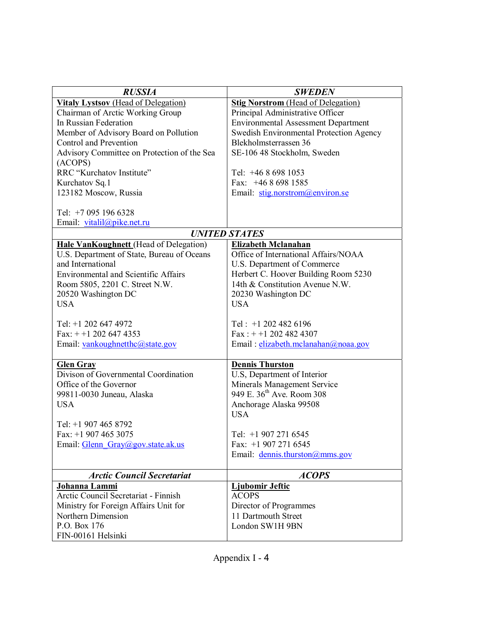| <b>RUSSIA</b>                               | <b>SWEDEN</b>                              |
|---------------------------------------------|--------------------------------------------|
| <b>Vitaly Lystsov</b> (Head of Delegation)  | <b>Stig Norstrom</b> (Head of Delegation)  |
| Chairman of Arctic Working Group            | Principal Administrative Officer           |
| In Russian Federation                       | <b>Environmental Assessment Department</b> |
| Member of Advisory Board on Pollution       | Swedish Environmental Protection Agency    |
| Control and Prevention                      | Blekholmsterrassen 36                      |
| Advisory Committee on Protection of the Sea | SE-106 48 Stockholm, Sweden                |
| (ACOPS)                                     |                                            |
| RRC "Kurchatov Institute"                   | Tel: $+4686981053$                         |
| Kurchatov Sq.1                              | Fax: $+4686981585$                         |
| 123182 Moscow, Russia                       | Email: stig.norstrom@environ.se            |
|                                             |                                            |
| Tel: +7 095 196 6328                        |                                            |
| Email: vitalil@pike.net.ru                  |                                            |
|                                             | <b>UNITED STATES</b>                       |
| Hale VanKoughnett (Head of Delegation)      | <b>Elizabeth Mclanahan</b>                 |
| U.S. Department of State, Bureau of Oceans  | Office of International Affairs/NOAA       |
| and International                           | U.S. Department of Commerce                |
| <b>Environmental and Scientific Affairs</b> | Herbert C. Hoover Building Room 5230       |
| Room 5805, 2201 C. Street N.W.              | 14th & Constitution Avenue N.W.            |
| 20520 Washington DC                         | 20230 Washington DC                        |
| <b>USA</b>                                  | <b>USA</b>                                 |
|                                             |                                            |
| Tel: +1 202 647 4972                        | Tel: $+1$ 202 482 6196                     |
| Fax: $+ +1$ 202 647 4353                    | Fax: $+ +1$ 202 482 4307                   |
| Email: vankoughnetthc@state.gov             | Email: elizabeth.mclanahan@noaa.gov        |
|                                             |                                            |
| <b>Glen Gray</b>                            | <b>Dennis Thurston</b>                     |
| Divison of Governmental Coordination        | U.S, Department of Interior                |
| Office of the Governor                      | Minerals Management Service                |
| 99811-0030 Juneau, Alaska                   | 949 E. 36 <sup>th</sup> Ave. Room 308      |
| <b>USA</b>                                  | Anchorage Alaska 99508                     |
|                                             | <b>USA</b>                                 |
| Tel: +1 907 465 8792                        |                                            |
| Fax: $+1$ 907 465 3075                      | Tel: $+19072716545$                        |
| Email: Glenn Gray@gov.state.ak.us           | Fax: $+19072716545$                        |
|                                             | Email: dennis.thurston@mms.gov             |
|                                             |                                            |
| <b>Arctic Council Secretariat</b>           | <b>ACOPS</b>                               |
| Johanna Lammi                               | <b>Ljubomir Jeftic</b>                     |
| Arctic Council Secretariat - Finnish        | <b>ACOPS</b>                               |
| Ministry for Foreign Affairs Unit for       | Director of Programmes                     |
| Northern Dimension                          | 11 Dartmouth Street                        |
| P.O. Box 176                                | London SW1H 9BN                            |
| FIN-00161 Helsinki                          |                                            |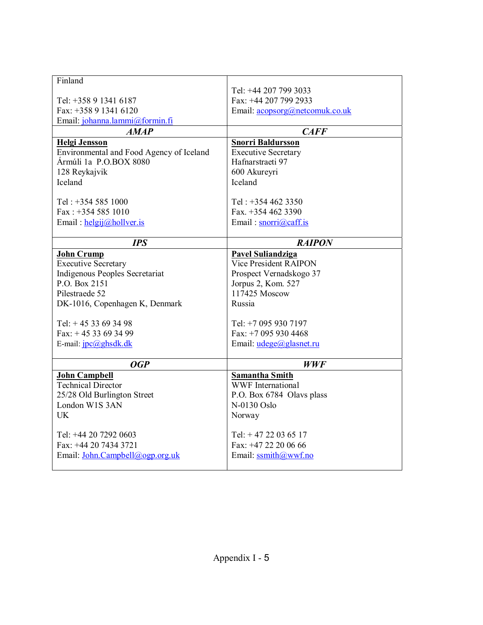| Finland                                           |                                            |
|---------------------------------------------------|--------------------------------------------|
|                                                   | Tel: +44 207 799 3033                      |
| Tel: +358 9 1341 6187                             | Fax: +44 207 799 2933                      |
| Fax: +358 9 1341 6120                             | Email: acopsorg@netcomuk.co.uk             |
| Email: johanna.lammi@formin.fi                    |                                            |
| <b>AMAP</b>                                       | CAFF                                       |
| <b>Helgi Jensson</b>                              | <b>Snorri Baldursson</b>                   |
| Environmental and Food Agency of Iceland          | <b>Executive Secretary</b>                 |
| Ármúli 1a P.O.BOX 8080                            | Hafnarstraeti 97                           |
| 128 Reykajvik                                     | 600 Akureyri                               |
| <b>Iceland</b>                                    | Iceland                                    |
|                                                   |                                            |
| Tel: +354 585 1000                                | Tel: $+3544623350$                         |
| Fax: $+3545851010$                                | Fax. +354 462 3390                         |
| Email: $helgij@hollver.is$                        | Email: snorri@caff.is                      |
|                                                   |                                            |
| <b>IPS</b>                                        | <b>RAIPON</b>                              |
| <b>John Crump</b>                                 | <b>Pavel Suliandziga</b>                   |
| <b>Executive Secretary</b>                        | Vice President RAIPON                      |
| Indigenous Peoples Secretariat                    | Prospect Vernadskogo 37                    |
| P.O. Box 2151                                     | Jorpus 2, Kom. 527                         |
| Pilestraede 52                                    | 117425 Moscow                              |
| DK-1016, Copenhagen K, Denmark                    | Russia                                     |
| Tel: $+4533693498$                                | Tel: +7 095 930 7197                       |
| Fax: $+4533693499$                                | Fax: $+70959304468$                        |
|                                                   |                                            |
| E-mail: $\text{ipc}(a)$ ghsdk.dk                  |                                            |
|                                                   | Email: $udege@glasnet.ru$                  |
| <b>OGP</b>                                        |                                            |
|                                                   | <b>WWF</b>                                 |
| <b>John Campbell</b><br><b>Technical Director</b> | <b>Samantha Smith</b><br>WWF International |
|                                                   |                                            |
| 25/28 Old Burlington Street<br>London W1S 3AN     | P.O. Box 6784 Olavs plass                  |
| <b>UK</b>                                         | N-0130 Oslo                                |
|                                                   | Norway                                     |
|                                                   |                                            |
| Tel: +44 20 7292 0603<br>Fax: +44 20 7434 3721    | Tel: $+4722036517$<br>Fax: +47 22 20 06 66 |
| Email: John.Campbell@ogp.org.uk                   | Email: $ssmith@wwf.no$                     |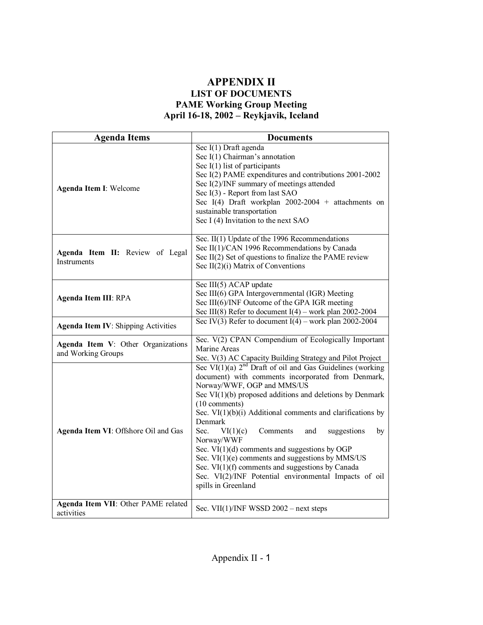#### **APPENDIX II LIST OF DOCUMENTS PAME Working Group Meeting**  April 16-18, 2002 – Reykjavik, Iceland

| <b>Agenda Items</b><br><b>Documents</b>                  |                                                                                                                                                                                                                                                                                                                                                                                                                                                                                                                                                                                                                                       |  |
|----------------------------------------------------------|---------------------------------------------------------------------------------------------------------------------------------------------------------------------------------------------------------------------------------------------------------------------------------------------------------------------------------------------------------------------------------------------------------------------------------------------------------------------------------------------------------------------------------------------------------------------------------------------------------------------------------------|--|
| Agenda Item I: Welcome                                   | Sec I(1) Draft agenda<br>Sec $I(1)$ Chairman's annotation<br>Sec $I(1)$ list of participants<br>Sec I(2) PAME expenditures and contributions 2001-2002<br>Sec I(2)/INF summary of meetings attended<br>Sec I(3) - Report from last SAO<br>Sec I(4) Draft workplan $2002-2004$ + attachments on<br>sustainable transportation<br>Sec I (4) Invitation to the next SAO                                                                                                                                                                                                                                                                  |  |
| Agenda Item II: Review of Legal<br><b>Instruments</b>    | Sec. II(1) Update of the 1996 Recommendations<br>Sec II(1)/CAN 1996 Recommendations by Canada<br>Sec II(2) Set of questions to finalize the PAME review<br>Sec $II(2)(i)$ Matrix of Conventions                                                                                                                                                                                                                                                                                                                                                                                                                                       |  |
| <b>Agenda Item III: RPA</b>                              | Sec III(5) ACAP update<br>Sec III(6) GPA Intergovernmental (IGR) Meeting<br>Sec III(6)/INF Outcome of the GPA IGR meeting<br>Sec III(8) Refer to document $I(4)$ – work plan 2002-2004                                                                                                                                                                                                                                                                                                                                                                                                                                                |  |
| <b>Agenda Item IV: Shipping Activities</b>               | Sec IV(3) Refer to document $I(4)$ – work plan 2002-2004                                                                                                                                                                                                                                                                                                                                                                                                                                                                                                                                                                              |  |
| Agenda Item V: Other Organizations<br>and Working Groups | Sec. V(2) CPAN Compendium of Ecologically Important<br>Marine Areas<br>Sec. V(3) AC Capacity Building Strategy and Pilot Project                                                                                                                                                                                                                                                                                                                                                                                                                                                                                                      |  |
| Agenda Item VI: Offshore Oil and Gas                     | Sec VI $(1)(a)$ $2nd$ Draft of oil and Gas Guidelines (working<br>document) with comments incorporated from Denmark,<br>Norway/WWF, OGP and MMS/US<br>Sec $VI(1)(b)$ proposed additions and deletions by Denmark<br>(10 comments)<br>Sec. $VI(1)(b)(i)$ Additional comments and clarifications by<br>Denmark<br>Sec.<br>VI(1)(c)<br>Comments<br>suggestions<br>and<br>by<br>Norway/WWF<br>Sec. $VI(1)(d)$ comments and suggestions by OGP<br>Sec. $VI(1)(e)$ comments and suggestions by MMS/US<br>Sec. $VI(1)(f)$ comments and suggestions by Canada<br>Sec. VI(2)/INF Potential environmental Impacts of oil<br>spills in Greenland |  |
| Agenda Item VII: Other PAME related<br>activities        | Sec. VII(1)/INF WSSD $2002$ – next steps                                                                                                                                                                                                                                                                                                                                                                                                                                                                                                                                                                                              |  |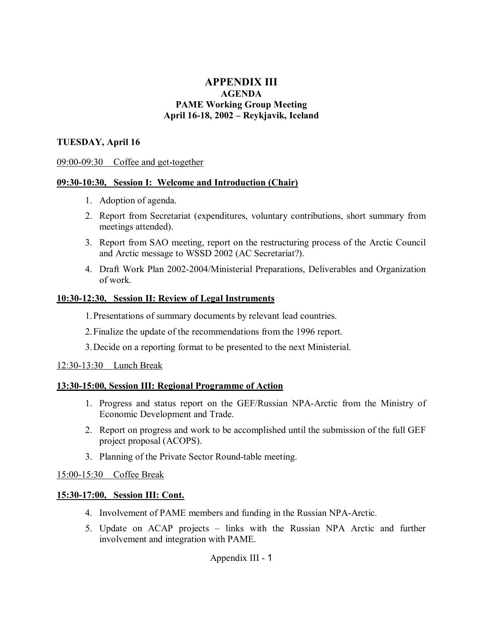#### **APPENDIX III AGENDA PAME Working Group Meeting**  April 16-18, 2002 – Reykjavik, Iceland

#### **TUESDAY, April 16**

#### 09:00-09:30 Coffee and get-together

#### **09:30-10:30, Session I: Welcome and Introduction (Chair)**

- 1. Adoption of agenda.
- 2. Report from Secretariat (expenditures, voluntary contributions, short summary from meetings attended).
- 3. Report from SAO meeting, report on the restructuring process of the Arctic Council and Arctic message to WSSD 2002 (AC Secretariat?).
- 4. Draft Work Plan 2002-2004/Ministerial Preparations, Deliverables and Organization of work.

#### **10:30-12:30, Session II: Review of Legal Instruments**

1. Presentations of summary documents by relevant lead countries.

2. Finalize the update of the recommendations from the 1996 report.

3. Decide on a reporting format to be presented to the next Ministerial.

#### 12:30-13:30 Lunch Break

#### **13:30-15:00, Session III: Regional Programme of Action**

- 1. Progress and status report on the GEF/Russian NPA-Arctic from the Ministry of Economic Development and Trade.
- 2. Report on progress and work to be accomplished until the submission of the full GEF project proposal (ACOPS).
- 3. Planning of the Private Sector Round-table meeting.

#### 15:00-15:30 Coffee Break

#### **15:30-17:00, Session III: Cont.**

- 4. Involvement of PAME members and funding in the Russian NPA-Arctic.
- 5. Update on ACAP projects links with the Russian NPA Arctic and further involvement and integration with PAME.

Appendix III - 1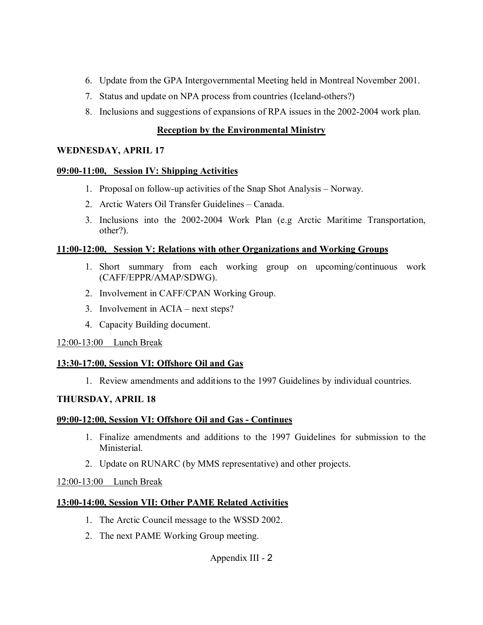- 6. Update from the GPA Intergovernmental Meeting held in Montreal November 2001.
- 7. Status and update on NPA process from countries (Iceland-others?)
- 8. Inclusions and suggestions of expansions of RPA issues in the 2002-2004 work plan.

## **Reception by the Environmental Ministry**

#### **WEDNESDAY, APRIL 17**

#### **09:00-11:00, Session IV: Shipping Activities**

- 1. Proposal on follow-up activities of the Snap Shot Analysis Norway.
- 2. Arctic Waters Oil Transfer Guidelines Canada.
- 3. Inclusions into the 2002-2004 Work Plan (e.g Arctic Maritime Transportation, other?).

#### **11:00-12:00, Session V: Relations with other Organizations and Working Groups**

- 1. Short summary from each working group on upcoming/continuous work (CAFF/EPPR/AMAP/SDWG).
- 2. Involvement in CAFF/CPAN Working Group.
- 3. Involvement in  $ACIA next steps?$
- 4. Capacity Building document.

## 12:00-13:00 Lunch Break

## **13:30-17:00, Session VI: Offshore Oil and Gas**

1. Review amendments and additions to the 1997 Guidelines by individual countries.

## **THURSDAY, APRIL 18**

## **09:00-12:00, Session VI: Offshore Oil and Gas - Continues**

- 1. Finalize amendments and additions to the 1997 Guidelines for submission to the Ministerial.
- 2. Update on RUNARC (by MMS representative) and other projects.

## 12:00-13:00 Lunch Break

## **13:00-14:00, Session VII: Other PAME Related Activities**

- 1. The Arctic Council message to the WSSD 2002.
- 2. The next PAME Working Group meeting.

# Appendix III - 2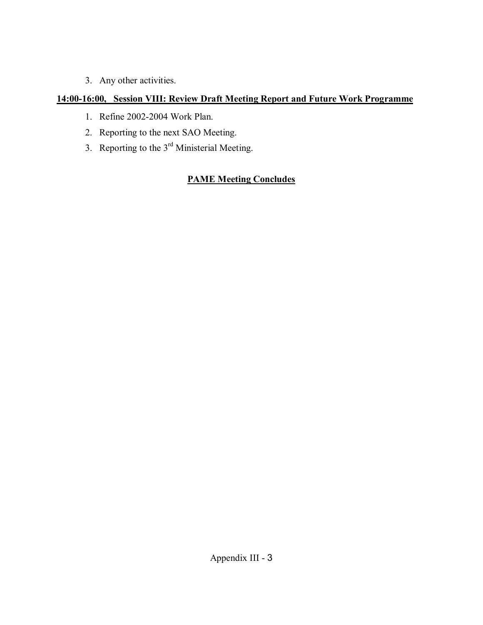3. Any other activities.

# **14:00-16:00, Session VIII: Review Draft Meeting Report and Future Work Programme**

- 1. Refine 2002-2004 Work Plan.
- 2. Reporting to the next SAO Meeting.
- 3. Reporting to the 3rd Ministerial Meeting.

# **PAME Meeting Concludes**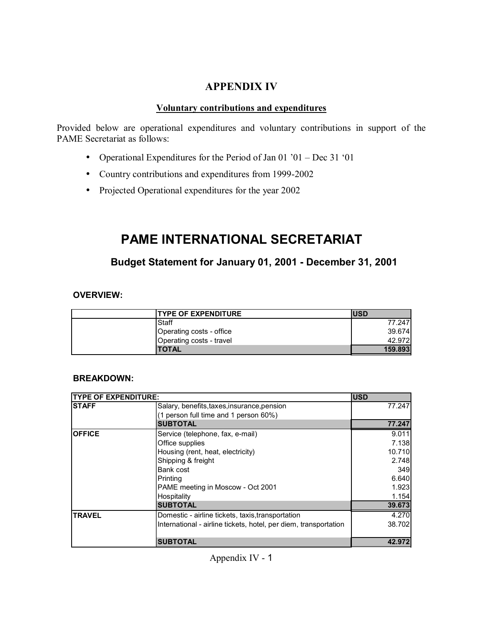## **APPENDIX IV**

#### **Voluntary contributions and expenditures**

Provided below are operational expenditures and voluntary contributions in support of the PAME Secretariat as follows:

- Operational Expenditures for the Period of Jan 01  $^{\circ}$ 01 Dec 31  $^{\circ}$ 01
- Country contributions and expenditures from 1999-2002
- Projected Operational expenditures for the year 2002

# **PAME INTERNATIONAL SECRETARIAT**

# **Budget Statement for January 01, 2001 - December 31, 2001**

#### **OVERVIEW:**

| <b>ITYPE OF EXPENDITURE</b> | lusd    |
|-----------------------------|---------|
| Staff                       | 77.247  |
| Operating costs - office    | 39.674  |
| Operating costs - travel    | 42.972  |
| <b>TOTAL</b>                | 159.893 |

#### **BREAKDOWN:**

| <b>TYPE OF EXPENDITURE:</b> |                                                                  | <b>IUSD</b> |
|-----------------------------|------------------------------------------------------------------|-------------|
| <b>STAFF</b>                | Salary, benefits, taxes, insurance, pension                      |             |
|                             | (1 person full time and 1 person 60%)                            |             |
|                             | <b>SUBTOTAL</b>                                                  | 77.247      |
| <b>OFFICE</b>               | Service (telephone, fax, e-mail)                                 | 9.011       |
|                             | Office supplies                                                  | 7.138       |
|                             | Housing (rent, heat, electricity)                                | 10.710      |
|                             | Shipping & freight                                               | 2.748       |
|                             | Bank cost                                                        | 349         |
|                             | Printing                                                         | 6.640       |
|                             | PAME meeting in Moscow - Oct 2001                                | 1.923       |
|                             | Hospitality                                                      | 1.154       |
|                             | <b>SUBTOTAL</b>                                                  | 39.673      |
| <b>TRAVEL</b>               | Domestic - airline tickets, taxis, transportation                | 4.270       |
|                             | International - airline tickets, hotel, per diem, transportation | 38.702      |
|                             |                                                                  |             |
|                             | <b>SUBTOTAL</b>                                                  | 42.972      |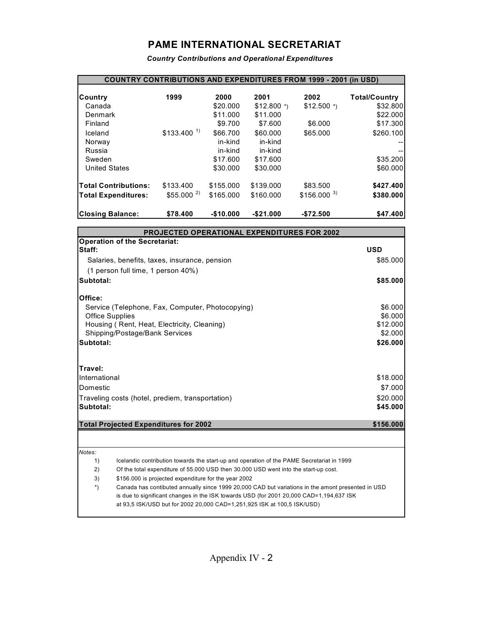# **PAME INTERNATIONAL SECRETARIAT**

*Country Contributions and Operational Expenditures* 

| <b>COUNTRY CONTRIBUTIONS AND EXPENDITURES FROM 1999 - 2001 (in USD)</b> |                          |            |              |                          |                      |
|-------------------------------------------------------------------------|--------------------------|------------|--------------|--------------------------|----------------------|
| Country                                                                 | 1999                     | 2000       | 2001         | 2002                     | <b>Total/Country</b> |
| Canada                                                                  |                          | \$20.000   | $$12.800$ *) | $$12.500$ *)             | \$32.800             |
| Denmark                                                                 |                          | \$11.000   | \$11.000     |                          | \$22.000             |
| Finland                                                                 |                          | \$9.700    | \$7.600      | \$6,000                  | \$17.300             |
| Iceland                                                                 | $$133.400$ <sup>1)</sup> | \$66,700   | \$60,000     | \$65.000                 | \$260.100            |
| Norway                                                                  |                          | in-kind    | in-kind      |                          |                      |
| Russia                                                                  |                          | in-kind    | in-kind      |                          |                      |
| Sweden                                                                  |                          | \$17,600   | \$17,600     |                          | \$35.200             |
| <b>United States</b>                                                    |                          | \$30.000   | \$30,000     |                          | \$60.000             |
| <b>Total Contributions:</b>                                             | \$133.400                | \$155.000  | \$139.000    | \$83.500                 | \$427.400            |
| <b>Total Expenditures:</b>                                              | $$55.000$ <sup>2)</sup>  | \$165,000  | \$160,000    | $$156.000$ <sup>3)</sup> | \$380.000            |
| <b>Closing Balance:</b>                                                 | \$78,400                 | $-$10.000$ | $-$21.000$   | $-$72.500$               | \$47.400             |

|               | <b>PROJECTED OPERATIONAL EXPENDITURES FOR 2002</b>                                                |            |
|---------------|---------------------------------------------------------------------------------------------------|------------|
|               | <b>Operation of the Secretariat:</b>                                                              |            |
| Staff:        |                                                                                                   | <b>USD</b> |
|               | Salaries, benefits, taxes, insurance, pension                                                     | \$85,000   |
|               | (1 person full time, 1 person 40%)                                                                |            |
| Subtotal:     |                                                                                                   | \$85.000   |
| Office:       |                                                                                                   |            |
|               | Service (Telephone, Fax, Computer, Photocopying)                                                  | \$6,000    |
|               | <b>Office Supplies</b>                                                                            | \$6,000    |
|               | Housing (Rent, Heat, Electricity, Cleaning)                                                       | \$12,000   |
|               | Shipping/Postage/Bank Services                                                                    | \$2.000    |
| Subtotal:     |                                                                                                   | \$26,000   |
| Travel:       |                                                                                                   |            |
| International |                                                                                                   | \$18.000   |
| Domestic      |                                                                                                   | \$7,000    |
|               | Traveling costs (hotel, prediem, transportation)                                                  | \$20.000   |
| Subtotal:     |                                                                                                   | \$45,000   |
|               | <b>Total Projected Expenditures for 2002</b>                                                      | \$156,000  |
|               |                                                                                                   |            |
| Notes:        |                                                                                                   |            |
| 1)            | Icelandic contribution towards the start-up and operation of the PAME Secretariat in 1999         |            |
| 2)            | Of the total expenditure of 55.000 USD then 30.000 USD went into the start-up cost.               |            |
| 3)            | \$156.000 is projected expenditure for the year 2002                                              |            |
| $^*)$         | Canada has contibuted annually since 1999 20,000 CAD but variations in the amont presented in USD |            |
|               | is due to significant changes in the ISK towards USD (for 2001 20,000 CAD=1,194,637 ISK           |            |
|               | at 93,5 ISK/USD but for 2002 20,000 CAD=1,251,925 ISK at 100,5 ISK/USD)                           |            |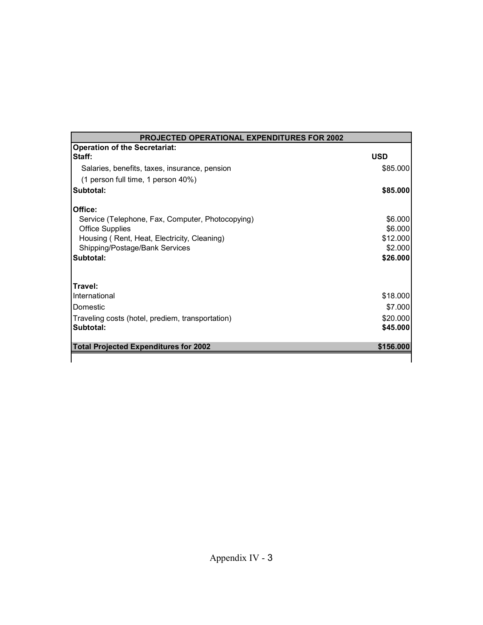| <b>PROJECTED OPERATIONAL EXPENDITURES FOR 2002</b> |            |  |
|----------------------------------------------------|------------|--|
| <b>Operation of the Secretariat:</b>               |            |  |
| Staff:                                             | <b>USD</b> |  |
| Salaries, benefits, taxes, insurance, pension      | \$85.000   |  |
| (1 person full time, 1 person 40%)                 |            |  |
| Subtotal:                                          | \$85.000   |  |
| Office:                                            |            |  |
| Service (Telephone, Fax, Computer, Photocopying)   | \$6.000    |  |
| <b>Office Supplies</b>                             | \$6.000    |  |
| Housing (Rent, Heat, Electricity, Cleaning)        | \$12.000   |  |
| Shipping/Postage/Bank Services                     | \$2.000    |  |
| Subtotal:                                          | \$26.000   |  |
| Travel:                                            |            |  |
| International                                      | \$18.000   |  |
| Domestic                                           | \$7.000    |  |
| Traveling costs (hotel, prediem, transportation)   | \$20,000   |  |
| Subtotal:                                          | \$45,000   |  |
| <b>Total Projected Expenditures for 2002</b>       | \$156,000  |  |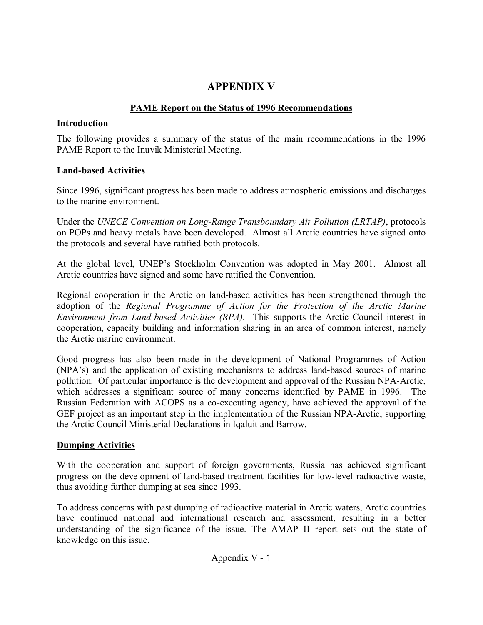# **APPENDIX V**

## **PAME Report on the Status of 1996 Recommendations**

#### **Introduction**

The following provides a summary of the status of the main recommendations in the 1996 PAME Report to the Inuvik Ministerial Meeting.

## **Land-based Activities**

Since 1996, significant progress has been made to address atmospheric emissions and discharges to the marine environment.

Under the *UNECE Convention on Long-Range Transboundary Air Pollution (LRTAP)*, protocols on POPs and heavy metals have been developed. Almost all Arctic countries have signed onto the protocols and several have ratified both protocols.

At the global level, UNEP's Stockholm Convention was adopted in May 2001. Almost all Arctic countries have signed and some have ratified the Convention.

Regional cooperation in the Arctic on land-based activities has been strengthened through the adoption of the *Regional Programme of Action for the Protection of the Arctic Marine Environment from Land-based Activities (RPA).* This supports the Arctic Council interest in cooperation, capacity building and information sharing in an area of common interest, namely the Arctic marine environment.

Good progress has also been made in the development of National Programmes of Action (NPA's) and the application of existing mechanisms to address land-based sources of marine pollution. Of particular importance is the development and approval of the Russian NPA-Arctic, which addresses a significant source of many concerns identified by PAME in 1996. The Russian Federation with ACOPS as a co-executing agency, have achieved the approval of the GEF project as an important step in the implementation of the Russian NPA-Arctic, supporting the Arctic Council Ministerial Declarations in Iqaluit and Barrow.

# **Dumping Activities**

With the cooperation and support of foreign governments, Russia has achieved significant progress on the development of land-based treatment facilities for low-level radioactive waste, thus avoiding further dumping at sea since 1993.

To address concerns with past dumping of radioactive material in Arctic waters, Arctic countries have continued national and international research and assessment, resulting in a better understanding of the significance of the issue. The AMAP II report sets out the state of knowledge on this issue.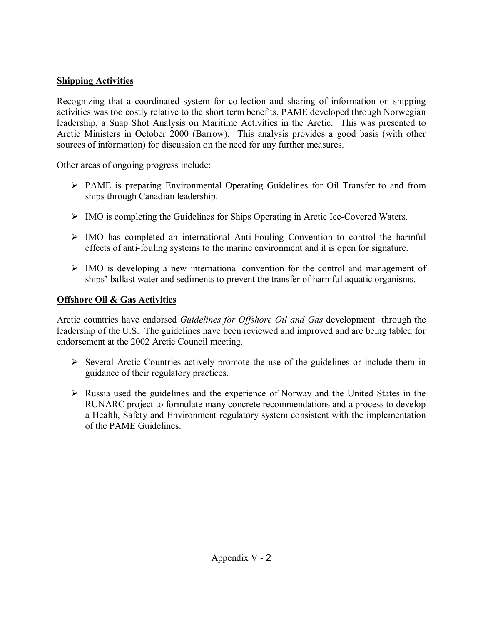## **Shipping Activities**

Recognizing that a coordinated system for collection and sharing of information on shipping activities was too costly relative to the short term benefits, PAME developed through Norwegian leadership, a Snap Shot Analysis on Maritime Activities in the Arctic. This was presented to Arctic Ministers in October 2000 (Barrow). This analysis provides a good basis (with other sources of information) for discussion on the need for any further measures.

Other areas of ongoing progress include:

- ! PAME is preparing Environmental Operating Guidelines for Oil Transfer to and from ships through Canadian leadership.
- ! IMO is completing the Guidelines for Ships Operating in Arctic Ice-Covered Waters.
- $\triangleright$  IMO has completed an international Anti-Fouling Convention to control the harmful effects of anti-fouling systems to the marine environment and it is open for signature.
- $\triangleright$  IMO is developing a new international convention for the control and management of ships' ballast water and sediments to prevent the transfer of harmful aquatic organisms.

## **Offshore Oil & Gas Activities**

Arctic countries have endorsed *Guidelines for Offshore Oil and Gas* development through the leadership of the U.S. The guidelines have been reviewed and improved and are being tabled for endorsement at the 2002 Arctic Council meeting.

- $\triangleright$  Several Arctic Countries actively promote the use of the guidelines or include them in guidance of their regulatory practices.
- $\triangleright$  Russia used the guidelines and the experience of Norway and the United States in the RUNARC project to formulate many concrete recommendations and a process to develop a Health, Safety and Environment regulatory system consistent with the implementation of the PAME Guidelines.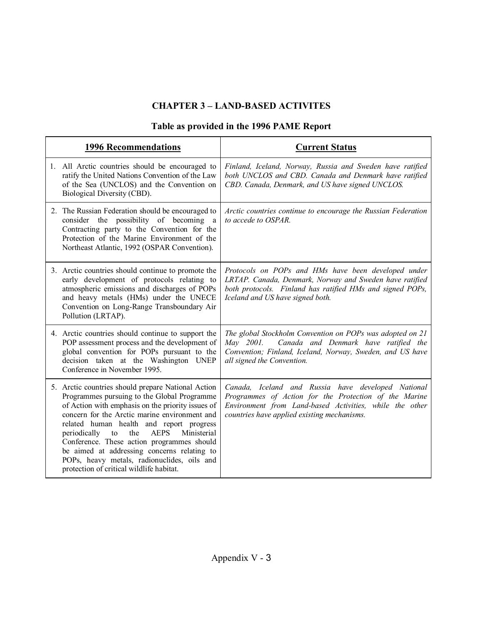# **CHAPTER 3 - LAND-BASED ACTIVITES**

# **Table as provided in the 1996 PAME Report**

| <b>1996 Recommendations</b>                                                                                                                                                                                                                                                                                                                                                                                                                                                                         | <b>Current Status</b>                                                                                                                                                                                                 |
|-----------------------------------------------------------------------------------------------------------------------------------------------------------------------------------------------------------------------------------------------------------------------------------------------------------------------------------------------------------------------------------------------------------------------------------------------------------------------------------------------------|-----------------------------------------------------------------------------------------------------------------------------------------------------------------------------------------------------------------------|
| 1. All Arctic countries should be encouraged to<br>ratify the United Nations Convention of the Law<br>of the Sea (UNCLOS) and the Convention on<br>Biological Diversity (CBD).                                                                                                                                                                                                                                                                                                                      | Finland, Iceland, Norway, Russia and Sweden have ratified<br>both UNCLOS and CBD. Canada and Denmark have ratified<br>CBD. Canada, Denmark, and US have signed UNCLOS.                                                |
| 2. The Russian Federation should be encouraged to<br>consider the possibility of becoming a<br>Contracting party to the Convention for the<br>Protection of the Marine Environment of the<br>Northeast Atlantic, 1992 (OSPAR Convention).                                                                                                                                                                                                                                                           | Arctic countries continue to encourage the Russian Federation<br>to accede to OSPAR.                                                                                                                                  |
| 3. Arctic countries should continue to promote the<br>early development of protocols relating to<br>atmospheric emissions and discharges of POPs<br>and heavy metals (HMs) under the UNECE<br>Convention on Long-Range Transboundary Air<br>Pollution (LRTAP).                                                                                                                                                                                                                                      | Protocols on POPs and HMs have been developed under<br>LRTAP. Canada, Denmark, Norway and Sweden have ratified<br>both protocols. Finland has ratified HMs and signed POPs,<br>Iceland and US have signed both.       |
| 4. Arctic countries should continue to support the<br>POP assessment process and the development of<br>global convention for POPs pursuant to the<br>decision taken at the Washington UNEP<br>Conference in November 1995.                                                                                                                                                                                                                                                                          | The global Stockholm Convention on POPs was adopted on 21<br>Canada and Denmark have ratified the<br>May 2001.<br>Convention; Finland, Iceland, Norway, Sweden, and US have<br>all signed the Convention.             |
| 5. Arctic countries should prepare National Action<br>Programmes pursuing to the Global Programme<br>of Action with emphasis on the priority issues of<br>concern for the Arctic marine environment and<br>related human health and report progress<br>the<br><b>AEPS</b><br>Ministerial<br>periodically to<br>Conference. These action programmes should<br>be aimed at addressing concerns relating to<br>POPs, heavy metals, radionuclides, oils and<br>protection of critical wildlife habitat. | Canada, Iceland and Russia have developed National<br>Programmes of Action for the Protection of the Marine<br>Environment from Land-based Activities, while the other<br>countries have applied existing mechanisms. |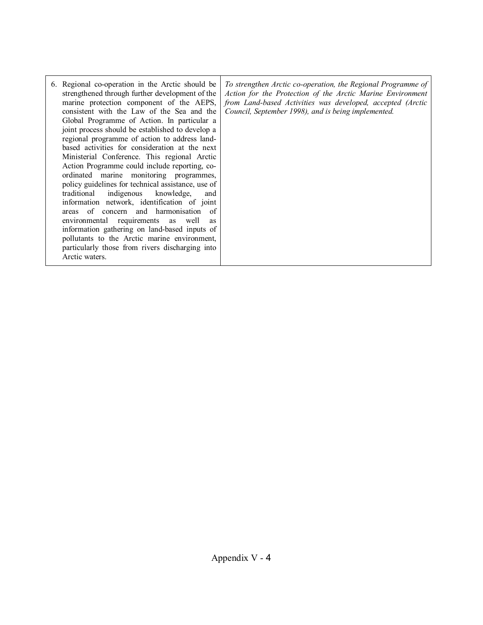| 6. Regional co-operation in the Arctic should be<br>strengthened through further development of the<br>marine protection component of the AEPS,<br>consistent with the Law of the Sea and the<br>Global Programme of Action. In particular a<br>joint process should be established to develop a<br>regional programme of action to address land-<br>based activities for consideration at the next<br>Ministerial Conference. This regional Arctic<br>Action Programme could include reporting, co-<br>ordinated marine monitoring programmes,<br>policy guidelines for technical assistance, use of<br>traditional indigenous<br>knowledge,<br>and<br>information network, identification of joint<br>of concern and harmonisation<br>-of<br>areas<br>environmental requirements as well<br>as<br>information gathering on land-based inputs of<br>pollutants to the Arctic marine environment,<br>particularly those from rivers discharging into<br>Arctic waters. | To strengthen Arctic co-operation, the Regional Programme of<br>Action for the Protection of the Arctic Marine Environment<br>from Land-based Activities was developed, accepted (Arctic<br>Council, September 1998), and is being implemented. |
|------------------------------------------------------------------------------------------------------------------------------------------------------------------------------------------------------------------------------------------------------------------------------------------------------------------------------------------------------------------------------------------------------------------------------------------------------------------------------------------------------------------------------------------------------------------------------------------------------------------------------------------------------------------------------------------------------------------------------------------------------------------------------------------------------------------------------------------------------------------------------------------------------------------------------------------------------------------------|-------------------------------------------------------------------------------------------------------------------------------------------------------------------------------------------------------------------------------------------------|
|------------------------------------------------------------------------------------------------------------------------------------------------------------------------------------------------------------------------------------------------------------------------------------------------------------------------------------------------------------------------------------------------------------------------------------------------------------------------------------------------------------------------------------------------------------------------------------------------------------------------------------------------------------------------------------------------------------------------------------------------------------------------------------------------------------------------------------------------------------------------------------------------------------------------------------------------------------------------|-------------------------------------------------------------------------------------------------------------------------------------------------------------------------------------------------------------------------------------------------|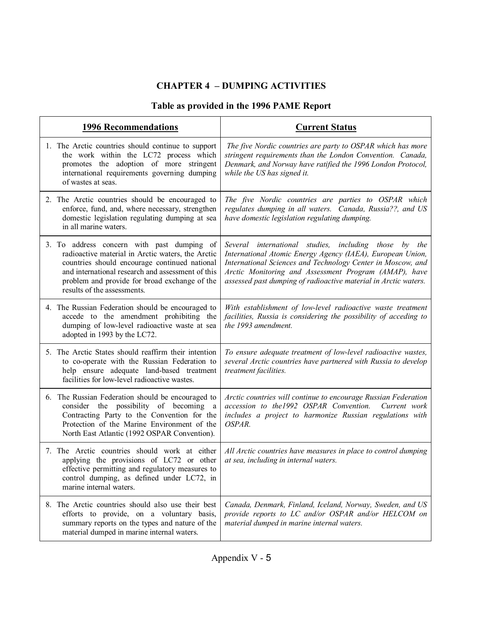# **CHAPTER 4 - DUMPING ACTIVITIES**

# **Table as provided in the 1996 PAME Report**

| <b>1996 Recommendations</b>                                                                                                                                                                                                                                                           | <b>Current Status</b>                                                                                                                                                                                                                                                                                          |
|---------------------------------------------------------------------------------------------------------------------------------------------------------------------------------------------------------------------------------------------------------------------------------------|----------------------------------------------------------------------------------------------------------------------------------------------------------------------------------------------------------------------------------------------------------------------------------------------------------------|
| 1. The Arctic countries should continue to support<br>the work within the LC72 process which<br>promotes the adoption of more stringent<br>international requirements governing dumping<br>of wastes at seas.                                                                         | The five Nordic countries are party to OSPAR which has more<br>stringent requirements than the London Convention. Canada,<br>Denmark, and Norway have ratified the 1996 London Protocol,<br>while the US has signed it.                                                                                        |
| 2. The Arctic countries should be encouraged to<br>enforce, fund, and, where necessary, strengthen<br>domestic legislation regulating dumping at sea<br>in all marine waters.                                                                                                         | The five Nordic countries are parties to OSPAR which<br>regulates dumping in all waters. Canada, Russia??, and US<br>have domestic legislation regulating dumping.                                                                                                                                             |
| 3. To address concern with past dumping of<br>radioactive material in Arctic waters, the Arctic<br>countries should encourage continued national<br>and international research and assessment of this<br>problem and provide for broad exchange of the<br>results of the assessments. | Several international studies, including those by the<br>International Atomic Energy Agency (IAEA), European Union,<br>International Sciences and Technology Center in Moscow, and<br>Arctic Monitoring and Assessment Program (AMAP), have<br>assessed past dumping of radioactive material in Arctic waters. |
| 4. The Russian Federation should be encouraged to<br>accede to the amendment prohibiting the<br>dumping of low-level radioactive waste at sea<br>adopted in 1993 by the LC72.                                                                                                         | With establishment of low-level radioactive waste treatment<br>facilities, Russia is considering the possibility of acceding to<br>the 1993 amendment.                                                                                                                                                         |
| 5. The Arctic States should reaffirm their intention<br>to co-operate with the Russian Federation to<br>help ensure adequate land-based treatment<br>facilities for low-level radioactive wastes.                                                                                     | To ensure adequate treatment of low-level radioactive wastes,<br>several Arctic countries have partnered with Russia to develop<br>treatment facilities.                                                                                                                                                       |
| 6. The Russian Federation should be encouraged to<br>consider the possibility of becoming a<br>Contracting Party to the Convention for the<br>Protection of the Marine Environment of the<br>North East Atlantic (1992 OSPAR Convention).                                             | Arctic countries will continue to encourage Russian Federation<br>accession to the1992 OSPAR Convention.<br>Current work<br>includes a project to harmonize Russian regulations with<br>OSPAR.                                                                                                                 |
| 7. The Arctic countries should work at either<br>applying the provisions of LC72 or other<br>effective permitting and regulatory measures to<br>control dumping, as defined under LC72, in<br>marine internal waters.                                                                 | All Arctic countries have measures in place to control dumping<br>at sea, including in internal waters.                                                                                                                                                                                                        |
| 8. The Arctic countries should also use their best<br>efforts to provide, on a voluntary basis,<br>summary reports on the types and nature of the<br>material dumped in marine internal waters.                                                                                       | Canada, Denmark, Finland, Iceland, Norway, Sweden, and US<br>provide reports to LC and/or OSPAR and/or HELCOM on<br>material dumped in marine internal waters.                                                                                                                                                 |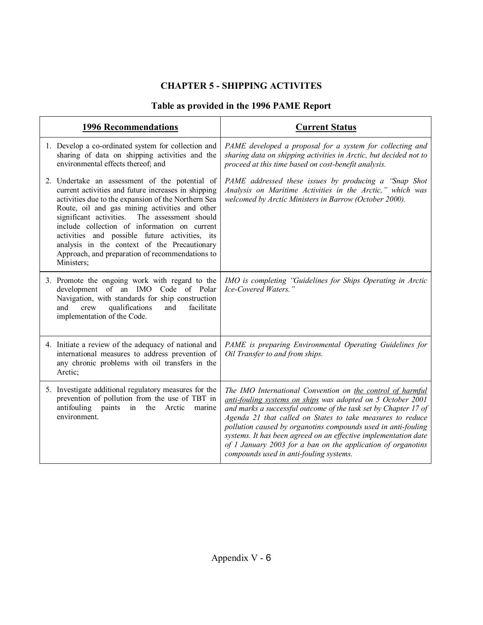# **CHAPTER 5 - SHIPPING ACTIVITES**

# **Table as provided in the 1996 PAME Report**

| <b>1996 Recommendations</b> |                                                                                                                                                                                                                                                                                                                                                                                                                                                                                    | <b>Current Status</b>                                                                                                                                                                                                                                                                                                                                                                                                                                                                                     |
|-----------------------------|------------------------------------------------------------------------------------------------------------------------------------------------------------------------------------------------------------------------------------------------------------------------------------------------------------------------------------------------------------------------------------------------------------------------------------------------------------------------------------|-----------------------------------------------------------------------------------------------------------------------------------------------------------------------------------------------------------------------------------------------------------------------------------------------------------------------------------------------------------------------------------------------------------------------------------------------------------------------------------------------------------|
|                             | 1. Develop a co-ordinated system for collection and<br>sharing of data on shipping activities and the<br>environmental effects thereof; and                                                                                                                                                                                                                                                                                                                                        | PAME developed a proposal for a system for collecting and<br>sharing data on shipping activities in Arctic, but decided not to<br>proceed at this time based on cost-benefit analysis.                                                                                                                                                                                                                                                                                                                    |
|                             | 2. Undertake an assessment of the potential of<br>current activities and future increases in shipping<br>activities due to the expansion of the Northern Sea<br>Route, oil and gas mining activities and other<br>significant activities. The assessment should<br>include collection of information on current<br>activities and possible future activities, its<br>analysis in the context of the Precautionary<br>Approach, and preparation of recommendations to<br>Ministers; | PAME addressed these issues by producing a "Snap Shot<br>Analysis on Maritime Activities in the Arctic," which was<br>welcomed by Arctic Ministers in Barrow (October 2000).                                                                                                                                                                                                                                                                                                                              |
|                             | 3. Promote the ongoing work with regard to the<br>development of an IMO Code of Polar<br>Navigation, with standards for ship construction<br>crew<br>qualifications<br>and<br>facilitate<br>and<br>implementation of the Code.                                                                                                                                                                                                                                                     | IMO is completing "Guidelines for Ships Operating in Arctic<br>Ice-Covered Waters."                                                                                                                                                                                                                                                                                                                                                                                                                       |
|                             | 4. Initiate a review of the adequacy of national and<br>international measures to address prevention of<br>any chronic problems with oil transfers in the<br>Arctic;                                                                                                                                                                                                                                                                                                               | PAME is preparing Environmental Operating Guidelines for<br>Oil Transfer to and from ships.                                                                                                                                                                                                                                                                                                                                                                                                               |
|                             | 5. Investigate additional regulatory measures for the<br>prevention of pollution from the use of TBT in<br>antifouling paints in the Arctic<br>marine<br>environment.                                                                                                                                                                                                                                                                                                              | The IMO International Convention on the control of harmful<br>anti-fouling systems on ships was adopted on 5 October 2001<br>and marks a successful outcome of the task set by Chapter 17 of<br>Agenda 21 that called on States to take measures to reduce<br>pollution caused by organotins compounds used in anti-fouling<br>systems. It has been agreed on an effective implementation date<br>of 1 January 2003 for a ban on the application of organotins<br>compounds used in anti-fouling systems. |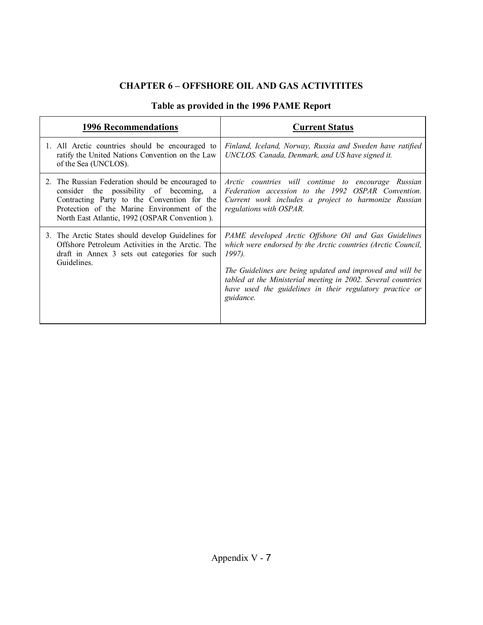# **CHAPTER 6 - OFFSHORE OIL AND GAS ACTIVITITES**

| Table as provided in the 1996 PAME Report |
|-------------------------------------------|
|-------------------------------------------|

| <b>1996 Recommendations</b>                                                                                                                                                                                                                 | <b>Current Status</b>                                                                                                                                                                                                                                                                                                                 |
|---------------------------------------------------------------------------------------------------------------------------------------------------------------------------------------------------------------------------------------------|---------------------------------------------------------------------------------------------------------------------------------------------------------------------------------------------------------------------------------------------------------------------------------------------------------------------------------------|
| 1. All Arctic countries should be encouraged to<br>ratify the United Nations Convention on the Law<br>of the Sea (UNCLOS).                                                                                                                  | Finland, Iceland, Norway, Russia and Sweden have ratified<br>UNCLOS. Canada, Denmark, and US have signed it.                                                                                                                                                                                                                          |
| 2. The Russian Federation should be encouraged to<br>consider the possibility of becoming, a<br>Contracting Party to the Convention for the<br>Protection of the Marine Environment of the<br>North East Atlantic, 1992 (OSPAR Convention). | Arctic countries will continue to encourage Russian<br>Federation accession to the 1992 OSPAR Convention.<br>Current work includes a project to harmonize Russian<br>regulations with OSPAR.                                                                                                                                          |
| 3. The Arctic States should develop Guidelines for<br>Offshore Petroleum Activities in the Arctic. The<br>draft in Annex 3 sets out categories for such<br>Guidelines.                                                                      | PAME developed Arctic Offshore Oil and Gas Guidelines<br>which were endorsed by the Arctic countries (Arctic Council,<br>1997).<br>The Guidelines are being updated and improved and will be<br>tabled at the Ministerial meeting in 2002. Several countries<br>have used the guidelines in their regulatory practice or<br>guidance. |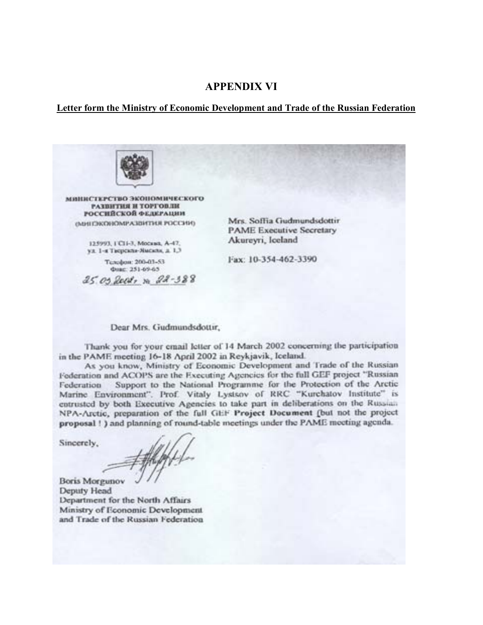#### **APPENDIX VI**

#### **Letter form the Ministry of Economic Development and Trade of the Russian Federation**



манистерство экономического РАЗВИТИЯ И ТОРГОВЛИ РОССИЙСКОЙ ФЕДЕРАЦИИ имитековомических числи постания

> 125993, ГСП-3, Москва, А-47, ул. 1-я Творская-Ямская, д. 1,3

Телефон: 200-01-53 Фикс: 251-69-65

25.05 Rect, n 22-388

Mrs. Soffia Gudmundsdottir **PAME Executive Secretary** Akureyri, Iceland

Fax: 10-354-462-3390

Dear Mrs. Gudmundsdottir,

Thank you for your email letter of 14 March 2002 concerning the participation in the PAME meeting 16-18 April 2002 in Reykjavik, Iceland.

As you know, Ministry of Economic Development and Trade of the Russian Federation and ACOPS are the Executing Agencies for the full GEF project "Russian Support to the National Programme for the Protection of the Arctic Federation Marine Environment". Prof. Vitaly Lystsov of RRC "Kurchatov Institute" is entrusted by both Executive Agencies to take part in deliberations on the Russian NPA-Arctic, preparation of the full GEF Project Document (but not the project proposal ! ) and planning of round-table meetings under the PAME meeting agenda.

Sincerely,

**Boris Morgunov** Deputy Head Department for the North Affairs Ministry of Economic Development and Trade of the Russian Federation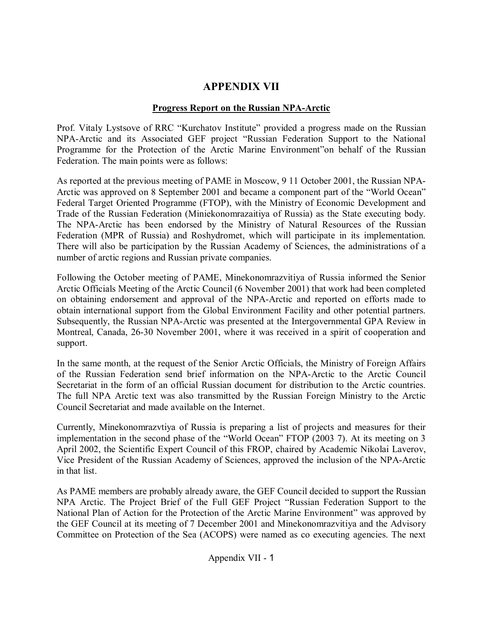# **APPENDIX VII**

## **Progress Report on the Russian NPA-Arctic**

Prof. Vitaly Lystsove of RRC "Kurchatov Institute" provided a progress made on the Russian NPA-Arctic and its Associated GEF project "Russian Federation Support to the National Programme for the Protection of the Arctic Marine Environment" on behalf of the Russian Federation. The main points were as follows:

As reported at the previous meeting of PAME in Moscow, 9 11 October 2001, the Russian NPA-Arctic was approved on 8 September 2001 and became a component part of the "World Ocean" Federal Target Oriented Programme (FTOP), with the Ministry of Economic Development and Trade of the Russian Federation (Miniekonomrazaitiya of Russia) as the State executing body. The NPA-Arctic has been endorsed by the Ministry of Natural Resources of the Russian Federation (MPR of Russia) and Roshydromet, which will participate in its implementation. There will also be participation by the Russian Academy of Sciences, the administrations of a number of arctic regions and Russian private companies.

Following the October meeting of PAME, Minekonomrazvitiya of Russia informed the Senior Arctic Officials Meeting of the Arctic Council (6 November 2001) that work had been completed on obtaining endorsement and approval of the NPA-Arctic and reported on efforts made to obtain international support from the Global Environment Facility and other potential partners. Subsequently, the Russian NPA-Arctic was presented at the Intergovernmental GPA Review in Montreal, Canada, 26-30 November 2001, where it was received in a spirit of cooperation and support.

In the same month, at the request of the Senior Arctic Officials, the Ministry of Foreign Affairs of the Russian Federation send brief information on the NPA-Arctic to the Arctic Council Secretariat in the form of an official Russian document for distribution to the Arctic countries. The full NPA Arctic text was also transmitted by the Russian Foreign Ministry to the Arctic Council Secretariat and made available on the Internet.

Currently, Minekonomrazvtiya of Russia is preparing a list of projects and measures for their implementation in the second phase of the "World Ocean" FTOP (2003 7). At its meeting on 3 April 2002, the Scientific Expert Council of this FROP, chaired by Academic Nikolai Laverov, Vice President of the Russian Academy of Sciences, approved the inclusion of the NPA-Arctic in that list.

As PAME members are probably already aware, the GEF Council decided to support the Russian NPA Arctic. The Project Brief of the Full GEF Project "Russian Federation Support to the National Plan of Action for the Protection of the Arctic Marine Environment" was approved by the GEF Council at its meeting of 7 December 2001 and Minekonomrazvitiya and the Advisory Committee on Protection of the Sea (ACOPS) were named as co executing agencies. The next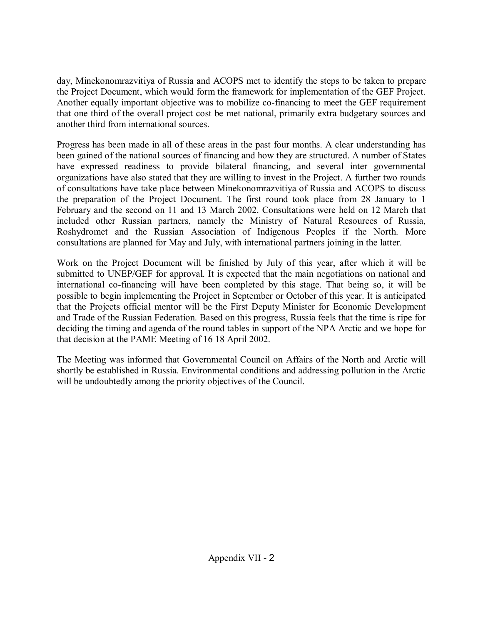day, Minekonomrazvitiya of Russia and ACOPS met to identify the steps to be taken to prepare the Project Document, which would form the framework for implementation of the GEF Project. Another equally important objective was to mobilize co-financing to meet the GEF requirement that one third of the overall project cost be met national, primarily extra budgetary sources and another third from international sources.

Progress has been made in all of these areas in the past four months. A clear understanding has been gained of the national sources of financing and how they are structured. A number of States have expressed readiness to provide bilateral financing, and several inter governmental organizations have also stated that they are willing to invest in the Project. A further two rounds of consultations have take place between Minekonomrazvitiya of Russia and ACOPS to discuss the preparation of the Project Document. The first round took place from 28 January to 1 February and the second on 11 and 13 March 2002. Consultations were held on 12 March that included other Russian partners, namely the Ministry of Natural Resources of Russia, Roshydromet and the Russian Association of Indigenous Peoples if the North. More consultations are planned for May and July, with international partners joining in the latter.

Work on the Project Document will be finished by July of this year, after which it will be submitted to UNEP/GEF for approval. It is expected that the main negotiations on national and international co-financing will have been completed by this stage. That being so, it will be possible to begin implementing the Project in September or October of this year. It is anticipated that the Projects official mentor will be the First Deputy Minister for Economic Development and Trade of the Russian Federation. Based on this progress, Russia feels that the time is ripe for deciding the timing and agenda of the round tables in support of the NPA Arctic and we hope for that decision at the PAME Meeting of 16 18 April 2002.

The Meeting was informed that Governmental Council on Affairs of the North and Arctic will shortly be established in Russia. Environmental conditions and addressing pollution in the Arctic will be undoubtedly among the priority objectives of the Council.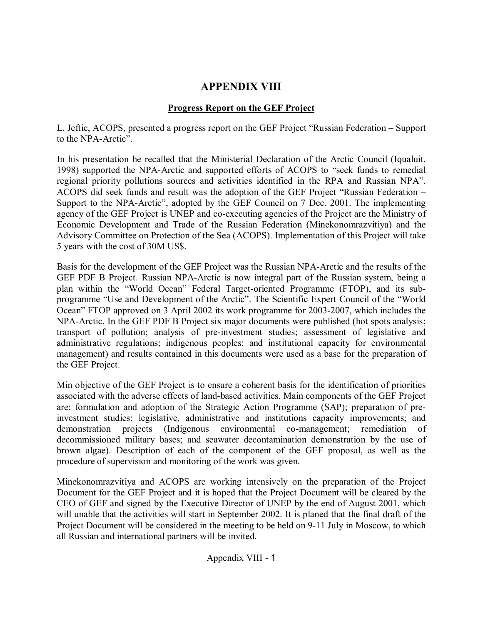# **APPENDIX VIII**

# **Progress Report on the GEF Project**

L. Jeftic, ACOPS, presented a progress report on the GEF Project "Russian Federation – Support to the NPA-Arctic".

In his presentation he recalled that the Ministerial Declaration of the Arctic Council (Iqualuit, 1998) supported the NPA-Arctic and supported efforts of ACOPS to "seek funds to remedial regional priority pollutions sources and activities identified in the RPA and Russian NPA". ACOPS did seek funds and result was the adoption of the GEF Project "Russian Federation – Support to the NPA-Arctic", adopted by the GEF Council on 7 Dec. 2001. The implementing agency of the GEF Project is UNEP and co-executing agencies of the Project are the Ministry of Economic Development and Trade of the Russian Federation (Minekonomrazvitiya) and the Advisory Committee on Protection of the Sea (ACOPS). Implementation of this Project will take 5 years with the cost of 30M US\$.

Basis for the development of the GEF Project was the Russian NPA-Arctic and the results of the GEF PDF B Project. Russian NPA-Arctic is now integral part of the Russian system, being a plan within the "World Ocean" Federal Target-oriented Programme (FTOP), and its subprogramme "Use and Development of the Arctic". The Scientific Expert Council of the "World" Oceanî FTOP approved on 3 April 2002 its work programme for 2003-2007, which includes the NPA-Arctic. In the GEF PDF B Project six major documents were published (hot spots analysis; transport of pollution; analysis of pre-investment studies; assessment of legislative and administrative regulations; indigenous peoples; and institutional capacity for environmental management) and results contained in this documents were used as a base for the preparation of the GEF Project.

Min objective of the GEF Project is to ensure a coherent basis for the identification of priorities associated with the adverse effects of land-based activities. Main components of the GEF Project are: formulation and adoption of the Strategic Action Programme (SAP); preparation of preinvestment studies; legislative, administrative and institutions capacity improvements; and demonstration projects (Indigenous environmental co-management; remediation of decommissioned military bases; and seawater decontamination demonstration by the use of brown algae). Description of each of the component of the GEF proposal, as well as the procedure of supervision and monitoring of the work was given.

Minekonomrazvitiya and ACOPS are working intensively on the preparation of the Project Document for the GEF Project and it is hoped that the Project Document will be cleared by the CEO of GEF and signed by the Executive Director of UNEP by the end of August 2001, which will unable that the activities will start in September 2002. It is planed that the final draft of the Project Document will be considered in the meeting to be held on 9-11 July in Moscow, to which all Russian and international partners will be invited.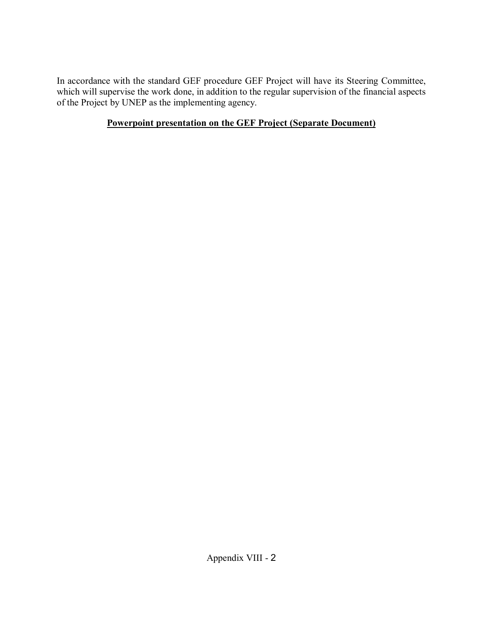In accordance with the standard GEF procedure GEF Project will have its Steering Committee, which will supervise the work done, in addition to the regular supervision of the financial aspects of the Project by UNEP as the implementing agency.

# **Powerpoint presentation on the GEF Project (Separate Document)**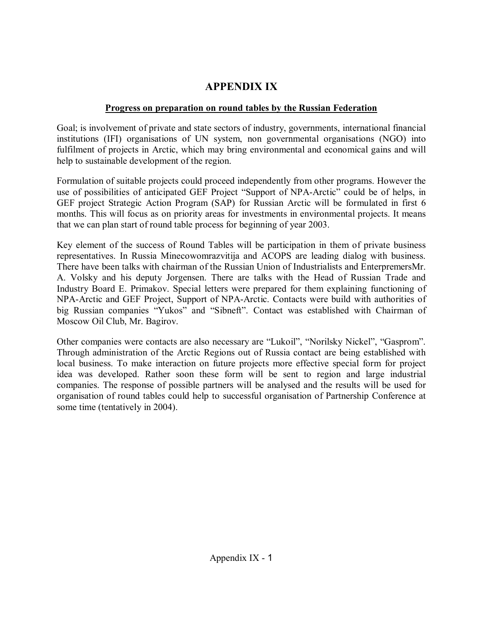# **APPENDIX IX**

## **Progress on preparation on round tables by the Russian Federation**

Goal; is involvement of private and state sectors of industry, governments, international financial institutions (IFI) organisations of UN system, non governmental organisations (NGO) into fulfilment of projects in Arctic, which may bring environmental and economical gains and will help to sustainable development of the region.

Formulation of suitable projects could proceed independently from other programs. However the use of possibilities of anticipated GEF Project "Support of NPA-Arctic" could be of helps, in GEF project Strategic Action Program (SAP) for Russian Arctic will be formulated in first 6 months. This will focus as on priority areas for investments in environmental projects. It means that we can plan start of round table process for beginning of year 2003.

Key element of the success of Round Tables will be participation in them of private business representatives. In Russia Minecowomrazvitija and ACOPS are leading dialog with business. There have been talks with chairman of the Russian Union of Industrialists and EnterpremersMr. A. Volsky and his deputy Jorgensen. There are talks with the Head of Russian Trade and Industry Board E. Primakov. Special letters were prepared for them explaining functioning of NPA-Arctic and GEF Project, Support of NPA-Arctic. Contacts were build with authorities of big Russian companies "Yukos" and "Sibneft". Contact was established with Chairman of Moscow Oil Club, Mr. Bagirov.

Other companies were contacts are also necessary are "Lukoil", "Norilsky Nickel", "Gasprom". Through administration of the Arctic Regions out of Russia contact are being established with local business. To make interaction on future projects more effective special form for project idea was developed. Rather soon these form will be sent to region and large industrial companies. The response of possible partners will be analysed and the results will be used for organisation of round tables could help to successful organisation of Partnership Conference at some time (tentatively in 2004).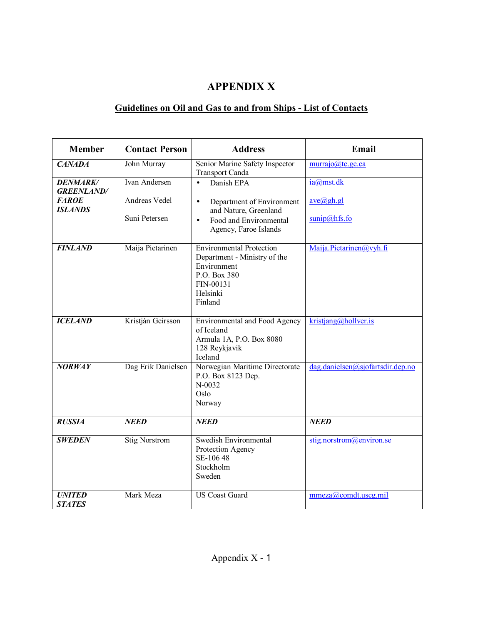# **APPENDIX X**

# **Guidelines on Oil and Gas to and from Ships - List of Contacts**

| <b>Member</b>                                                          | <b>Contact Person</b>                           | <b>Address</b>                                                                                                                                             | Email                                                      |
|------------------------------------------------------------------------|-------------------------------------------------|------------------------------------------------------------------------------------------------------------------------------------------------------------|------------------------------------------------------------|
| <b>CANADA</b>                                                          | John Murray                                     | Senior Marine Safety Inspector<br><b>Transport Canda</b>                                                                                                   | murrajo@tc.gc.ca                                           |
| <b>DENMARK/</b><br><b>GREENLAND/</b><br><b>FAROE</b><br><b>ISLANDS</b> | Ivan Andersen<br>Andreas Vedel<br>Suni Petersen | Danish EPA<br>$\bullet$<br>Department of Environment<br>$\bullet$<br>and Nature, Greenland<br>Food and Environmental<br>$\bullet$<br>Agency, Faroe Islands | ia@mst.dk<br>ave(a)gh.gl<br>$\frac{\text{sumip}(a)$ hfs.fo |
| <b>FINLAND</b>                                                         | Maija Pietarinen                                | <b>Environmental Protection</b><br>Department - Ministry of the<br>Environment<br>P.O. Box 380<br>FIN-00131<br>Helsinki<br>Finland                         | Maija.Pietarinen@vyh.fi                                    |
| <b>ICELAND</b>                                                         | Kristján Geirsson                               | Environmental and Food Agency<br>of Iceland<br>Armula 1A, P.O. Box 8080<br>128 Reykjavik<br>Iceland                                                        | kristjang@hollver.is                                       |
| <b>NORWAY</b>                                                          | Dag Erik Danielsen                              | Norwegian Maritime Directorate<br>P.O. Box 8123 Dep.<br>$N-0032$<br>Oslo<br>Norway                                                                         | dag.danielsen@sjofartsdir.dep.no                           |
| <b>RUSSIA</b>                                                          | <b>NEED</b>                                     | <b>NEED</b>                                                                                                                                                | <b>NEED</b>                                                |
| <b>SWEDEN</b>                                                          | <b>Stig Norstrom</b>                            | Swedish Environmental<br>Protection Agency<br>SE-106 48<br>Stockholm<br>Sweden                                                                             | stig.norstrom@environ.se                                   |
| <b>UNITED</b><br><b>STATES</b>                                         | Mark Meza                                       | <b>US Coast Guard</b>                                                                                                                                      | mmeza@comdt.uscg.mil                                       |